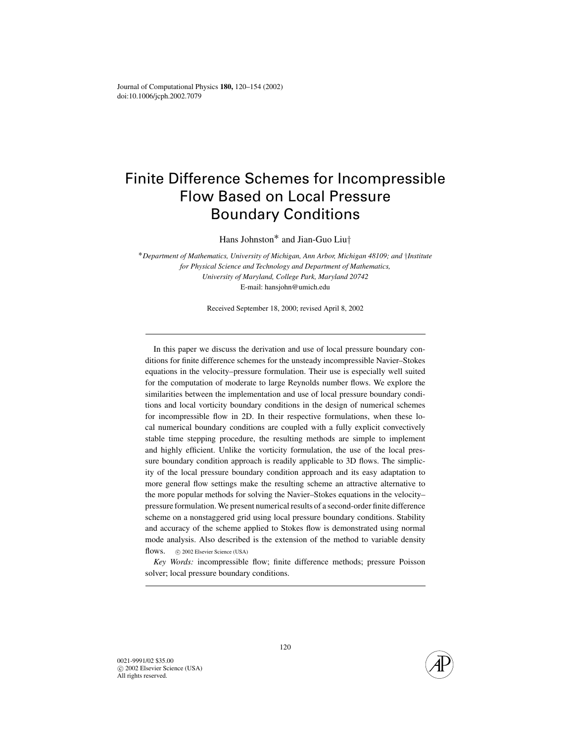# Finite Difference Schemes for Incompressible Flow Based on Local Pressure Boundary Conditions

Hans Johnston<sup>∗</sup> and Jian-Guo Liu†

<sup>∗</sup>*Department of Mathematics, University of Michigan, Ann Arbor, Michigan 48109; and* †*Institute for Physical Science and Technology and Department of Mathematics, University of Maryland, College Park, Maryland 20742* E-mail: hansjohn@umich.edu

Received September 18, 2000; revised April 8, 2002

In this paper we discuss the derivation and use of local pressure boundary conditions for finite difference schemes for the unsteady incompressible Navier–Stokes equations in the velocity–pressure formulation. Their use is especially well suited for the computation of moderate to large Reynolds number flows. We explore the similarities between the implementation and use of local pressure boundary conditions and local vorticity boundary conditions in the design of numerical schemes for incompressible flow in 2D. In their respective formulations, when these local numerical boundary conditions are coupled with a fully explicit convectively stable time stepping procedure, the resulting methods are simple to implement and highly efficient. Unlike the vorticity formulation, the use of the local pressure boundary condition approach is readily applicable to 3D flows. The simplicity of the local pressure boundary condition approach and its easy adaptation to more general flow settings make the resulting scheme an attractive alternative to the more popular methods for solving the Navier–Stokes equations in the velocity– pressure formulation. We present numerical results of a second-order finite difference scheme on a nonstaggered grid using local pressure boundary conditions. Stability and accuracy of the scheme applied to Stokes flow is demonstrated using normal mode analysis. Also described is the extension of the method to variable density flows. c 2002 Elsevier Science (USA)

*Key Words:* incompressible flow; finite difference methods; pressure Poisson solver; local pressure boundary conditions.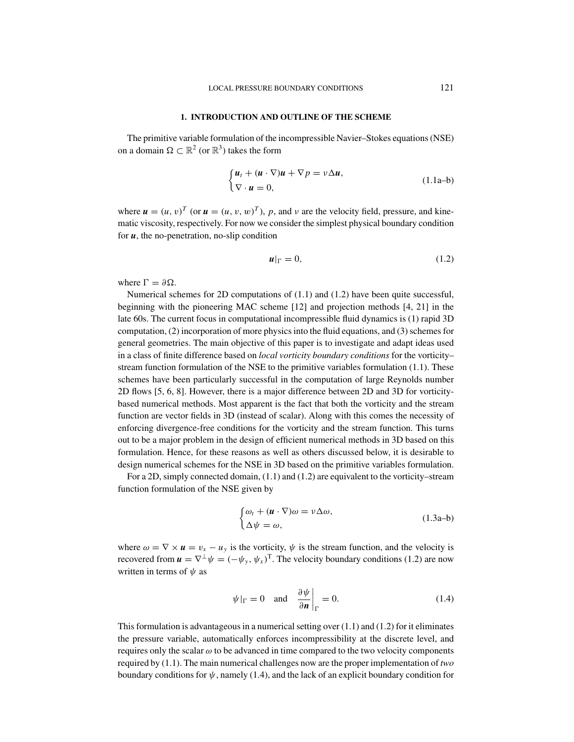#### **1. INTRODUCTION AND OUTLINE OF THE SCHEME**

The primitive variable formulation of the incompressible Navier–Stokes equations (NSE) on a domain  $\Omega \subset \mathbb{R}^2$  (or  $\mathbb{R}^3$ ) takes the form

$$
\begin{cases} u_t + (u \cdot \nabla)u + \nabla p = v\Delta u, \\ \nabla \cdot u = 0, \end{cases}
$$
 (1.1a–b)

where  $u = (u, v)^T$  (or  $u = (u, v, w)^T$ ), p, and v are the velocity field, pressure, and kinematic viscosity, respectively. For now we consider the simplest physical boundary condition for *u*, the no-penetration, no-slip condition

$$
\boldsymbol{u}|_{\Gamma} = 0,\tag{1.2}
$$

where  $\Gamma = \partial \Omega$ .

Numerical schemes for 2D computations of (1.1) and (1.2) have been quite successful, beginning with the pioneering MAC scheme [12] and projection methods [4, 21] in the late 60s. The current focus in computational incompressible fluid dynamics is (1) rapid 3D computation, (2) incorporation of more physics into the fluid equations, and (3) schemes for general geometries. The main objective of this paper is to investigate and adapt ideas used in a class of finite difference based on *local vorticity boundary conditions* for the vorticity– stream function formulation of the NSE to the primitive variables formulation (1.1). These schemes have been particularly successful in the computation of large Reynolds number 2D flows [5, 6, 8]. However, there is a major difference between 2D and 3D for vorticitybased numerical methods. Most apparent is the fact that both the vorticity and the stream function are vector fields in 3D (instead of scalar). Along with this comes the necessity of enforcing divergence-free conditions for the vorticity and the stream function. This turns out to be a major problem in the design of efficient numerical methods in 3D based on this formulation. Hence, for these reasons as well as others discussed below, it is desirable to design numerical schemes for the NSE in 3D based on the primitive variables formulation.

For a 2D, simply connected domain, (1.1) and (1.2) are equivalent to the vorticity–stream function formulation of the NSE given by

$$
\begin{cases} \omega_t + (\mathbf{u} \cdot \nabla)\omega = \nu \Delta \omega, \\ \Delta \psi = \omega, \end{cases}
$$
 (1.3a-b)

where  $\omega = \nabla \times \mathbf{u} = v_x - u_y$  is the vorticity,  $\psi$  is the stream function, and the velocity is recovered from  $u = \nabla^{\perp} \psi = (-\psi_{v}, \psi_{x})^{T}$ . The velocity boundary conditions (1.2) are now written in terms of  $\psi$  as

$$
\psi|_{\Gamma} = 0 \quad \text{and} \quad \frac{\partial \psi}{\partial n}\bigg|_{\Gamma} = 0. \tag{1.4}
$$

This formulation is advantageous in a numerical setting over  $(1.1)$  and  $(1.2)$  for it eliminates the pressure variable, automatically enforces incompressibility at the discrete level, and requires only the scalar  $\omega$  to be advanced in time compared to the two velocity components required by (1.1). The main numerical challenges now are the proper implementation of *two* boundary conditions for  $\psi$ , namely (1.4), and the lack of an explicit boundary condition for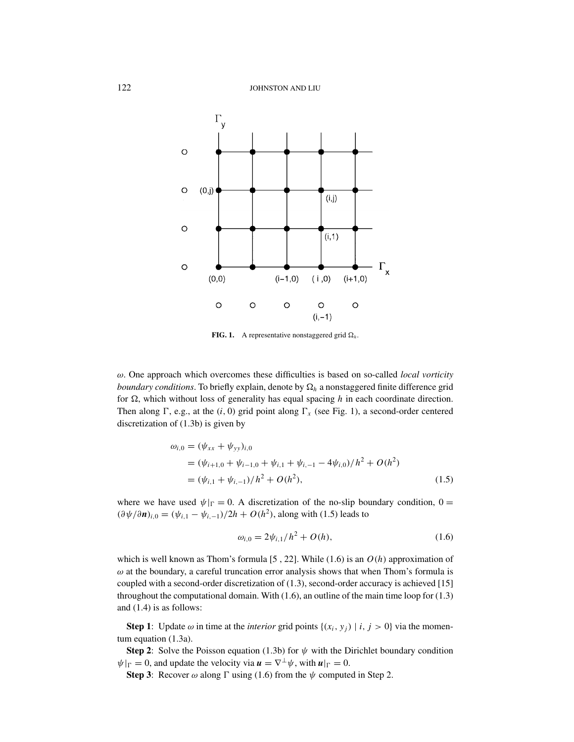

**FIG. 1.** A representative nonstaggered grid  $\Omega_h$ .

ω. One approach which overcomes these difficulties is based on so-called *local vorticity*  $\emph{boundary conditions}$ . To briefly explain, denote by  $\Omega_h$  a nonstaggered finite difference grid for  $\Omega$ , which without loss of generality has equal spacing  $h$  in each coordinate direction. Then along  $\Gamma$ , e.g., at the  $(i, 0)$  grid point along  $\Gamma_x$  (see Fig. 1), a second-order centered discretization of (1.3b) is given by

$$
\omega_{i,0} = (\psi_{xx} + \psi_{yy})_{i,0}
$$
  
=  $(\psi_{i+1,0} + \psi_{i-1,0} + \psi_{i,1} + \psi_{i,-1} - 4\psi_{i,0})/h^2 + O(h^2)$   
=  $(\psi_{i,1} + \psi_{i,-1})/h^2 + O(h^2),$  (1.5)

where we have used  $\psi|_{\Gamma} = 0$ . A discretization of the no-slip boundary condition,  $0 =$  $(\partial \psi / \partial n)_{i,0} = (\psi_{i,1} - \psi_{i,-1})/2h + O(h^2)$ , along with (1.5) leads to

$$
\omega_{i,0} = 2\psi_{i,1}/h^2 + O(h),\tag{1.6}
$$

which is well known as Thom's formula [5 , 22]. While (1.6) is an *O*(*h*) approximation of  $\omega$  at the boundary, a careful truncation error analysis shows that when Thom's formula is coupled with a second-order discretization of (1.3), second-order accuracy is achieved [15] throughout the computational domain. With (1.6), an outline of the main time loop for (1.3) and (1.4) is as follows:

**Step 1**: Update  $\omega$  in time at the *interior* grid points  $\{(x_i, y_j) | i, j > 0\}$  via the momentum equation (1.3a).

**Step 2:** Solve the Poisson equation (1.3b) for  $\psi$  with the Dirichlet boundary condition  $\psi|_{\Gamma} = 0$ , and update the velocity via  $\mathbf{u} = \nabla^{\perp} \psi$ , with  $\mathbf{u}|_{\Gamma} = 0$ .

**Step 3**: Recover  $\omega$  along  $\Gamma$  using (1.6) from the  $\psi$  computed in Step 2.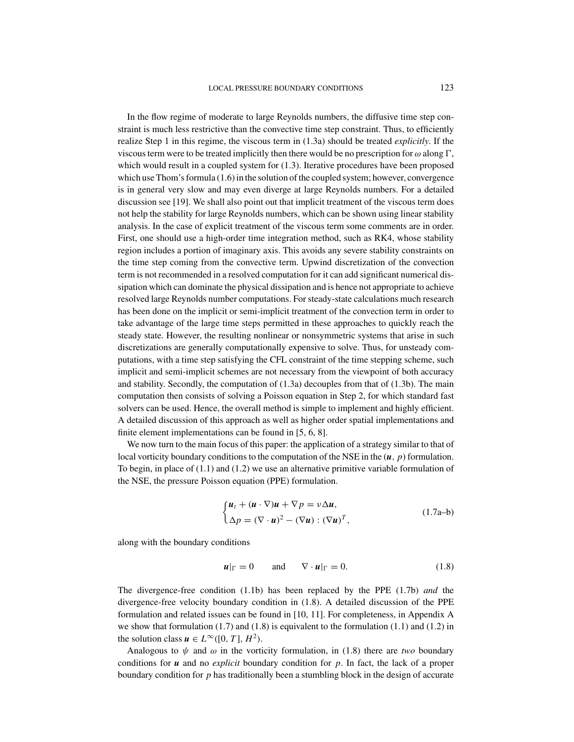In the flow regime of moderate to large Reynolds numbers, the diffusive time step constraint is much less restrictive than the convective time step constraint. Thus, to efficiently realize Step 1 in this regime, the viscous term in (1.3a) should be treated *explicitly*. If the viscous term were to be treated implicitly then there would be no prescription for  $\omega$  along  $\Gamma$ , which would result in a coupled system for (1.3). Iterative procedures have been proposed which use Thom's formula (1.6) in the solution of the coupled system; however, convergence is in general very slow and may even diverge at large Reynolds numbers. For a detailed discussion see [19]. We shall also point out that implicit treatment of the viscous term does not help the stability for large Reynolds numbers, which can be shown using linear stability analysis. In the case of explicit treatment of the viscous term some comments are in order. First, one should use a high-order time integration method, such as RK4, whose stability region includes a portion of imaginary axis. This avoids any severe stability constraints on the time step coming from the convective term. Upwind discretization of the convection term is not recommended in a resolved computation for it can add significant numerical dissipation which can dominate the physical dissipation and is hence not appropriate to achieve resolved large Reynolds number computations. For steady-state calculations much research has been done on the implicit or semi-implicit treatment of the convection term in order to take advantage of the large time steps permitted in these approaches to quickly reach the steady state. However, the resulting nonlinear or nonsymmetric systems that arise in such discretizations are generally computationally expensive to solve. Thus, for unsteady computations, with a time step satisfying the CFL constraint of the time stepping scheme, such implicit and semi-implicit schemes are not necessary from the viewpoint of both accuracy and stability. Secondly, the computation of (1.3a) decouples from that of (1.3b). The main computation then consists of solving a Poisson equation in Step 2, for which standard fast solvers can be used. Hence, the overall method is simple to implement and highly efficient. A detailed discussion of this approach as well as higher order spatial implementations and finite element implementations can be found in [5, 6, 8].

We now turn to the main focus of this paper: the application of a strategy similar to that of local vorticity boundary conditions to the computation of the NSE in the (*u*, *p*) formulation. To begin, in place of (1.1) and (1.2) we use an alternative primitive variable formulation of the NSE, the pressure Poisson equation (PPE) formulation.

$$
\begin{cases} \boldsymbol{u}_t + (\boldsymbol{u} \cdot \nabla)\boldsymbol{u} + \nabla p = v\Delta \boldsymbol{u}, \\ \Delta p = (\nabla \cdot \boldsymbol{u})^2 - (\nabla \boldsymbol{u}) : (\nabla \boldsymbol{u})^T, \end{cases}
$$
(1.7a-b)

along with the boundary conditions

$$
\boldsymbol{u}|_{\Gamma} = 0 \quad \text{and} \quad \nabla \cdot \boldsymbol{u}|_{\Gamma} = 0. \tag{1.8}
$$

The divergence-free condition (1.1b) has been replaced by the PPE (1.7b) *and* the divergence-free velocity boundary condition in (1.8). A detailed discussion of the PPE formulation and related issues can be found in [10, 11]. For completeness, in Appendix A we show that formulation  $(1.7)$  and  $(1.8)$  is equivalent to the formulation  $(1.1)$  and  $(1.2)$  in the solution class  $u \in L^{\infty}([0, T], H^2)$ .

Analogous to  $\psi$  and  $\omega$  in the vorticity formulation, in (1.8) there are *two* boundary conditions for *u* and no *explicit* boundary condition for *p*. In fact, the lack of a proper boundary condition for *p* has traditionally been a stumbling block in the design of accurate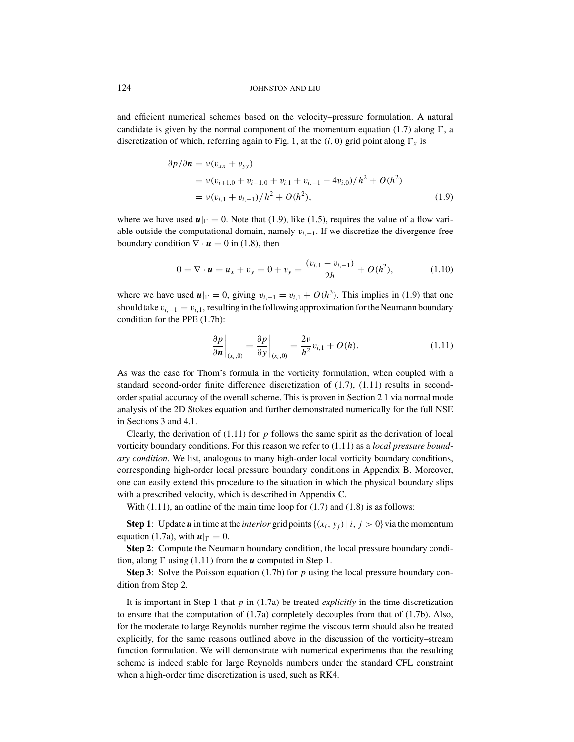and efficient numerical schemes based on the velocity–pressure formulation. A natural candidate is given by the normal component of the momentum equation  $(1.7)$  along  $\Gamma$ , a discretization of which, referring again to Fig. 1, at the  $(i, 0)$  grid point along  $\Gamma_x$  is

$$
\partial p/\partial \mathbf{n} = v(v_{xx} + v_{yy})
$$
  
=  $v(v_{i+1,0} + v_{i-1,0} + v_{i,1} + v_{i,-1} - 4v_{i,0})/h^2 + O(h^2)$   
=  $v(v_{i,1} + v_{i,-1})/h^2 + O(h^2),$  (1.9)

where we have used  $\mathbf{u}|_{\Gamma} = 0$ . Note that (1.9), like (1.5), requires the value of a flow variable outside the computational domain, namely v*<sup>i</sup>*,<sup>−</sup>1. If we discretize the divergence-free boundary condition  $\nabla \cdot \mathbf{u} = 0$  in (1.8), then

$$
0 = \nabla \cdot \mathbf{u} = u_x + v_y = 0 + v_y = \frac{(v_{i,1} - v_{i,-1})}{2h} + O(h^2), \tag{1.10}
$$

where we have used  $\mathbf{u}|_{\Gamma} = 0$ , giving  $v_{i,-1} = v_{i,1} + O(h^3)$ . This implies in (1.9) that one should take  $v_{i,-1} = v_{i,1}$ , resulting in the following approximation for the Neumann boundary condition for the PPE (1.7b):

$$
\left. \frac{\partial p}{\partial \mathbf{n}} \right|_{(x_i,0)} = \left. \frac{\partial p}{\partial y} \right|_{(x_i,0)} = \frac{2\nu}{h^2} v_{i,1} + O(h). \tag{1.11}
$$

As was the case for Thom's formula in the vorticity formulation, when coupled with a standard second-order finite difference discretization of (1.7), (1.11) results in secondorder spatial accuracy of the overall scheme. This is proven in Section 2.1 via normal mode analysis of the 2D Stokes equation and further demonstrated numerically for the full NSE in Sections 3 and 4.1.

Clearly, the derivation of  $(1.11)$  for  $p$  follows the same spirit as the derivation of local vorticity boundary conditions. For this reason we refer to (1.11) as a *local pressure boundary condition*. We list, analogous to many high-order local vorticity boundary conditions, corresponding high-order local pressure boundary conditions in Appendix B. Moreover, one can easily extend this procedure to the situation in which the physical boundary slips with a prescribed velocity, which is described in Appendix C.

With  $(1.11)$ , an outline of the main time loop for  $(1.7)$  and  $(1.8)$  is as follows:

**Step 1**: Update *u* in time at the *interior* grid points  $\{(x_i, y_j) | i, j > 0\}$  via the momentum equation (1.7a), with  $u|_{\Gamma} = 0$ .

**Step 2**: Compute the Neumann boundary condition, the local pressure boundary condition, along  $\Gamma$  using (1.11) from the  $\boldsymbol{u}$  computed in Step 1.

**Step 3**: Solve the Poisson equation (1.7b) for *p* using the local pressure boundary condition from Step 2.

It is important in Step 1 that *p* in (1.7a) be treated *explicitly* in the time discretization to ensure that the computation of (1.7a) completely decouples from that of (1.7b). Also, for the moderate to large Reynolds number regime the viscous term should also be treated explicitly, for the same reasons outlined above in the discussion of the vorticity–stream function formulation. We will demonstrate with numerical experiments that the resulting scheme is indeed stable for large Reynolds numbers under the standard CFL constraint when a high-order time discretization is used, such as RK4.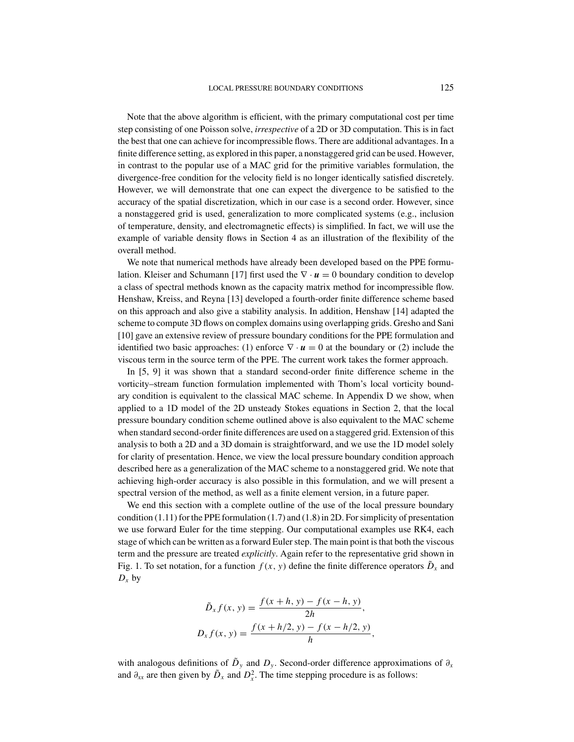Note that the above algorithm is efficient, with the primary computational cost per time step consisting of one Poisson solve, *irrespective* of a 2D or 3D computation. This is in fact the best that one can achieve for incompressible flows. There are additional advantages. In a finite difference setting, as explored in this paper, a nonstaggered grid can be used. However, in contrast to the popular use of a MAC grid for the primitive variables formulation, the divergence-free condition for the velocity field is no longer identically satisfied discretely. However, we will demonstrate that one can expect the divergence to be satisfied to the accuracy of the spatial discretization, which in our case is a second order. However, since a nonstaggered grid is used, generalization to more complicated systems (e.g., inclusion of temperature, density, and electromagnetic effects) is simplified. In fact, we will use the example of variable density flows in Section 4 as an illustration of the flexibility of the overall method.

We note that numerical methods have already been developed based on the PPE formulation. Kleiser and Schumann [17] first used the  $\nabla \cdot \mathbf{u} = 0$  boundary condition to develop a class of spectral methods known as the capacity matrix method for incompressible flow. Henshaw, Kreiss, and Reyna [13] developed a fourth-order finite difference scheme based on this approach and also give a stability analysis. In addition, Henshaw [14] adapted the scheme to compute 3D flows on complex domains using overlapping grids. Gresho and Sani [10] gave an extensive review of pressure boundary conditions for the PPE formulation and identified two basic approaches: (1) enforce  $\nabla \cdot \mathbf{u} = 0$  at the boundary or (2) include the viscous term in the source term of the PPE. The current work takes the former approach.

In [5, 9] it was shown that a standard second-order finite difference scheme in the vorticity–stream function formulation implemented with Thom's local vorticity boundary condition is equivalent to the classical MAC scheme. In Appendix D we show, when applied to a 1D model of the 2D unsteady Stokes equations in Section 2, that the local pressure boundary condition scheme outlined above is also equivalent to the MAC scheme when standard second-order finite differences are used on a staggered grid. Extension of this analysis to both a 2D and a 3D domain is straightforward, and we use the 1D model solely for clarity of presentation. Hence, we view the local pressure boundary condition approach described here as a generalization of the MAC scheme to a nonstaggered grid. We note that achieving high-order accuracy is also possible in this formulation, and we will present a spectral version of the method, as well as a finite element version, in a future paper.

We end this section with a complete outline of the use of the local pressure boundary condition (1.11) for the PPE formulation (1.7) and (1.8) in 2D. For simplicity of presentation we use forward Euler for the time stepping. Our computational examples use RK4, each stage of which can be written as a forward Euler step. The main point is that both the viscous term and the pressure are treated *explicitly*. Again refer to the representative grid shown in Fig. 1. To set notation, for a function  $f(x, y)$  define the finite difference operators  $\tilde{D}_x$  and  $D_x$  by

$$
\tilde{D}_x f(x, y) = \frac{f(x+h, y) - f(x-h, y)}{2h},
$$
  

$$
D_x f(x, y) = \frac{f(x+h/2, y) - f(x-h/2, y)}{h},
$$

with analogous definitions of  $\tilde{D}_y$  and  $D_y$ . Second-order difference approximations of  $\partial_x$ and  $\partial_{xx}$  are then given by  $\tilde{D}_x$  and  $D_x^2$ . The time stepping procedure is as follows: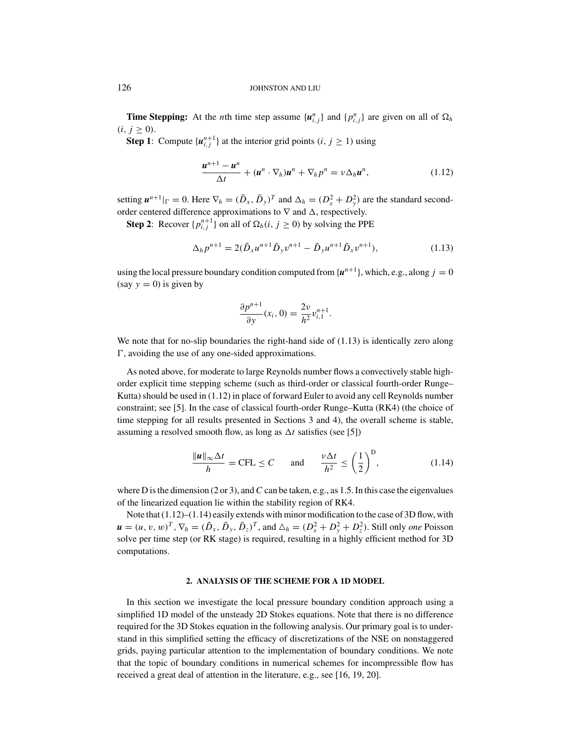**Time Stepping:** At the *n*th time step assume  $\{u_{i,j}^n\}$  and  $\{p_{i,j}^n\}$  are given on all of  $\Omega_h$  $(i, j \ge 0)$ .

**Step 1**: Compute  $\{u_{i,j}^{n+1}\}\$ at the interior grid points  $(i, j \ge 1)$  using

$$
\frac{\boldsymbol{u}^{n+1} - \boldsymbol{u}^n}{\Delta t} + (\boldsymbol{u}^n \cdot \nabla_h) \boldsymbol{u}^n + \nabla_h p^n = \nu \Delta_h \boldsymbol{u}^n, \qquad (1.12)
$$

setting  $\mathbf{u}^{n+1}|_{\Gamma} = 0$ . Here  $\nabla_h = (\tilde{D}_x, \tilde{D}_y)^T$  and  $\Delta_h = (D_x^2 + D_y^2)$  are the standard secondorder centered difference approximations to  $\nabla$  and  $\Delta$ , respectively.

**Step 2:** Recover  $\{p_{i,j}^{n+1}\}\$  on all of  $\Omega_h(i, j \ge 0)$  by solving the PPE

$$
\Delta_h p^{n+1} = 2(\tilde{D}_x u^{n+1} \tilde{D}_y v^{n+1} - \tilde{D}_y u^{n+1} \tilde{D}_x v^{n+1}),
$$
\n(1.13)

using the local pressure boundary condition computed from  ${u^{n+1}}$ , which, e.g., along  $j = 0$ (say  $y = 0$ ) is given by

$$
\frac{\partial p^{n+1}}{\partial y}(x_i, 0) = \frac{2v}{h^2} v_{i,1}^{n+1}.
$$

We note that for no-slip boundaries the right-hand side of  $(1.13)$  is identically zero along , avoiding the use of any one-sided approximations.

As noted above, for moderate to large Reynolds number flows a convectively stable highorder explicit time stepping scheme (such as third-order or classical fourth-order Runge– Kutta) should be used in (1.12) in place of forward Euler to avoid any cell Reynolds number constraint; see [5]. In the case of classical fourth-order Runge–Kutta (RK4) (the choice of time stepping for all results presented in Sections 3 and 4), the overall scheme is stable, assuming a resolved smooth flow, as long as  $\Delta t$  satisfies (see [5])

$$
\frac{\|\mathbf{u}\|_{\infty}\Delta t}{h} = \text{CFL} \le C \quad \text{and} \quad \frac{\nu \Delta t}{h^2} \le \left(\frac{1}{2}\right)^D, \tag{1.14}
$$

where D is the dimension  $(2 \text{ or } 3)$ , and C can be taken, e.g., as 1.5. In this case the eigenvalues of the linearized equation lie within the stability region of RK4.

Note that (1.12)–(1.14) easily extends with minor modification to the case of 3D flow, with  $\mathbf{u}=(u, v, w)^T$ ,  $\nabla_h=(\tilde{D}_x, \tilde{D}_y, \tilde{D}_z)^T$ , and  $\Delta_h=(D_x^2+D_y^2+D_z^2)$ . Still only *one* Poisson solve per time step (or RK stage) is required, resulting in a highly efficient method for 3D computations.

#### **2. ANALYSIS OF THE SCHEME FOR A 1D MODEL**

In this section we investigate the local pressure boundary condition approach using a simplified 1D model of the unsteady 2D Stokes equations. Note that there is no difference required for the 3D Stokes equation in the following analysis. Our primary goal is to understand in this simplified setting the efficacy of discretizations of the NSE on nonstaggered grids, paying particular attention to the implementation of boundary conditions. We note that the topic of boundary conditions in numerical schemes for incompressible flow has received a great deal of attention in the literature, e.g., see [16, 19, 20].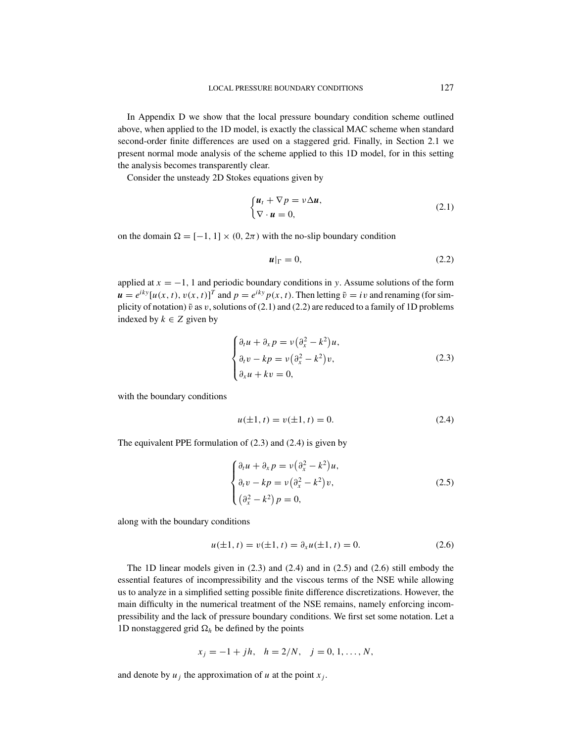In Appendix D we show that the local pressure boundary condition scheme outlined above, when applied to the 1D model, is exactly the classical MAC scheme when standard second-order finite differences are used on a staggered grid. Finally, in Section 2.1 we present normal mode analysis of the scheme applied to this 1D model, for in this setting the analysis becomes transparently clear.

Consider the unsteady 2D Stokes equations given by

$$
\begin{cases} \boldsymbol{u}_t + \nabla p = v \Delta \boldsymbol{u}, \\ \nabla \cdot \boldsymbol{u} = 0, \end{cases}
$$
 (2.1)

on the domain  $\Omega = [-1, 1] \times (0, 2\pi)$  with the no-slip boundary condition

$$
u|_{\Gamma} = 0, \tag{2.2}
$$

applied at  $x = -1$ , 1 and periodic boundary conditions in *y*. Assume solutions of the form  $u = e^{iky} [u(x, t), v(x, t)]^T$  and  $p = e^{iky} p(x, t)$ . Then letting  $\tilde{v} = iv$  and renaming (for simplicity of notation)  $\tilde{v}$  as v, solutions of (2.1) and (2.2) are reduced to a family of 1D problems indexed by  $k \in \mathbb{Z}$  given by

$$
\begin{cases} \partial_t u + \partial_x p = v \left( \partial_x^2 - k^2 \right) u, \\ \partial_t v - kp = v \left( \partial_x^2 - k^2 \right) v, \\ \partial_x u + kv = 0, \end{cases}
$$
 (2.3)

with the boundary conditions

$$
u(\pm 1, t) = v(\pm 1, t) = 0.
$$
\n(2.4)

The equivalent PPE formulation of  $(2.3)$  and  $(2.4)$  is given by

$$
\begin{cases} \partial_t u + \partial_x p = v \left( \partial_x^2 - k^2 \right) u, \\ \partial_t v - kp = v \left( \partial_x^2 - k^2 \right) v, \\ \left( \partial_x^2 - k^2 \right) p = 0, \end{cases}
$$
 (2.5)

along with the boundary conditions

$$
u(\pm 1, t) = v(\pm 1, t) = \partial_x u(\pm 1, t) = 0.
$$
 (2.6)

The 1D linear models given in (2.3) and (2.4) and in (2.5) and (2.6) still embody the essential features of incompressibility and the viscous terms of the NSE while allowing us to analyze in a simplified setting possible finite difference discretizations. However, the main difficulty in the numerical treatment of the NSE remains, namely enforcing incompressibility and the lack of pressure boundary conditions. We first set some notation. Let a 1D nonstaggered grid  $\Omega_h$  be defined by the points

$$
x_j = -1 + jh, \quad h = 2/N, \quad j = 0, 1, \dots, N,
$$

and denote by  $u_j$  the approximation of  $u$  at the point  $x_j$ .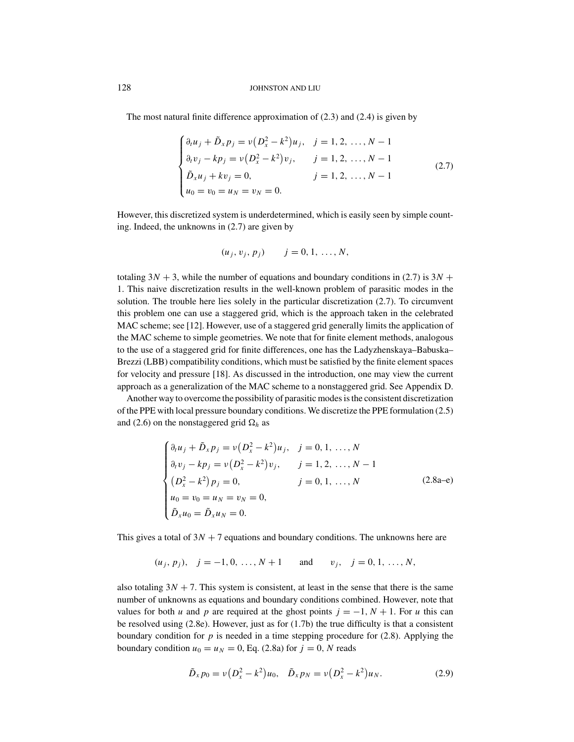The most natural finite difference approximation of  $(2.3)$  and  $(2.4)$  is given by

$$
\begin{cases}\n\partial_t u_j + \tilde{D}_x p_j = v(D_x^2 - k^2)u_j, & j = 1, 2, ..., N - 1 \\
\partial_t v_j - k p_j = v(D_x^2 - k^2)v_j, & j = 1, 2, ..., N - 1 \\
\tilde{D}_x u_j + k v_j = 0, & j = 1, 2, ..., N - 1 \\
u_0 = v_0 = u_N = v_N = 0.\n\end{cases}
$$
\n(2.7)

However, this discretized system is underdetermined, which is easily seen by simple counting. Indeed, the unknowns in (2.7) are given by

$$
(u_j, v_j, p_j)
$$
  $j = 0, 1, ..., N,$ 

totaling  $3N + 3$ , while the number of equations and boundary conditions in (2.7) is  $3N +$ 1. This naive discretization results in the well-known problem of parasitic modes in the solution. The trouble here lies solely in the particular discretization (2.7). To circumvent this problem one can use a staggered grid, which is the approach taken in the celebrated MAC scheme; see [12]. However, use of a staggered grid generally limits the application of the MAC scheme to simple geometries. We note that for finite element methods, analogous to the use of a staggered grid for finite differences, one has the Ladyzhenskaya–Babuska– Brezzi (LBB) compatibility conditions, which must be satisfied by the finite element spaces for velocity and pressure [18]. As discussed in the introduction, one may view the current approach as a generalization of the MAC scheme to a nonstaggered grid. See Appendix D.

Another way to overcome the possibility of parasitic modes is the consistent discretization of the PPE with local pressure boundary conditions. We discretize the PPE formulation (2.5) and (2.6) on the nonstaggered grid  $\Omega_h$  as

$$
\begin{cases}\n\partial_t u_j + \tilde{D}_x p_j = v(D_x^2 - k^2)u_j, & j = 0, 1, ..., N \\
\partial_t v_j - k p_j = v(D_x^2 - k^2)v_j, & j = 1, 2, ..., N - 1 \\
(D_x^2 - k^2)p_j = 0, & j = 0, 1, ..., N \\
u_0 = v_0 = u_N = v_N = 0, \\
\tilde{D}_x u_0 = \tilde{D}_x u_N = 0.\n\end{cases}
$$
\n(2.8a-e)

This gives a total of  $3N + 7$  equations and boundary conditions. The unknowns here are

$$
(u_j, p_j), j = -1, 0, ..., N+1
$$
 and  $v_j, j = 0, 1, ..., N$ ,

also totaling  $3N + 7$ . This system is consistent, at least in the sense that there is the same number of unknowns as equations and boundary conditions combined. However, note that values for both *u* and *p* are required at the ghost points  $j = -1$ ,  $N + 1$ . For *u* this can be resolved using (2.8e). However, just as for (1.7b) the true difficulty is that a consistent boundary condition for  $p$  is needed in a time stepping procedure for  $(2.8)$ . Applying the boundary condition  $u_0 = u_N = 0$ , Eq. (2.8a) for  $j = 0$ , N reads

$$
\tilde{D}_x p_0 = \nu (D_x^2 - k^2) u_0, \quad \tilde{D}_x p_N = \nu (D_x^2 - k^2) u_N.
$$
 (2.9)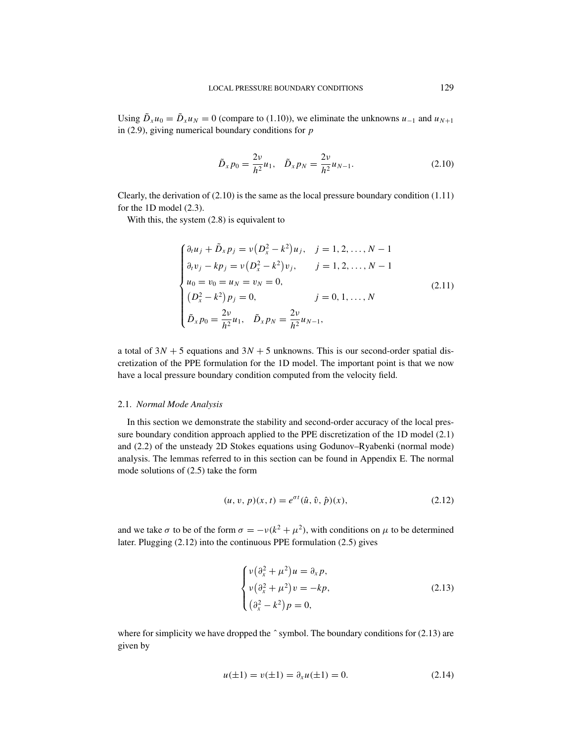Using  $\tilde{D}_x u_0 = \tilde{D}_x u_N = 0$  (compare to (1.10)), we eliminate the unknowns  $u_{-1}$  and  $u_{N+1}$ in (2.9), giving numerical boundary conditions for *p*

$$
\tilde{D}_x p_0 = \frac{2\nu}{h^2} u_1, \quad \tilde{D}_x p_N = \frac{2\nu}{h^2} u_{N-1}.
$$
\n(2.10)

Clearly, the derivation of  $(2.10)$  is the same as the local pressure boundary condition  $(1.11)$ for the 1D model (2.3).

With this, the system  $(2.8)$  is equivalent to

$$
\begin{cases}\n\partial_t u_j + \tilde{D}_x p_j = v(D_x^2 - k^2)u_j, & j = 1, 2, ..., N - 1 \\
\partial_t v_j - k p_j = v(D_x^2 - k^2)v_j, & j = 1, 2, ..., N - 1 \\
u_0 = v_0 = u_N = v_N = 0, \\
(D_x^2 - k^2)p_j = 0, & j = 0, 1, ..., N \\
\tilde{D}_x p_0 = \frac{2v}{h^2}u_1, & \tilde{D}_x p_N = \frac{2v}{h^2}u_{N-1},\n\end{cases}
$$
\n(2.11)

a total of  $3N + 5$  equations and  $3N + 5$  unknowns. This is our second-order spatial discretization of the PPE formulation for the 1D model. The important point is that we now have a local pressure boundary condition computed from the velocity field.

#### 2.1. *Normal Mode Analysis*

In this section we demonstrate the stability and second-order accuracy of the local pressure boundary condition approach applied to the PPE discretization of the 1D model (2.1) and (2.2) of the unsteady 2D Stokes equations using Godunov–Ryabenki (normal mode) analysis. The lemmas referred to in this section can be found in Appendix E. The normal mode solutions of (2.5) take the form

$$
(u, v, p)(x, t) = e^{\sigma t} (\hat{u}, \hat{v}, \hat{p})(x),
$$
\n(2.12)

and we take  $\sigma$  to be of the form  $\sigma = -\nu(k^2 + \mu^2)$ , with conditions on  $\mu$  to be determined later. Plugging (2.12) into the continuous PPE formulation (2.5) gives

$$
\begin{cases}\nv(\partial_x^2 + \mu^2)u = \partial_x p, \\
v(\partial_x^2 + \mu^2)v = -kp, \\
(\partial_x^2 - k^2)p = 0,\n\end{cases}
$$
\n(2.13)

where for simplicity we have dropped the  $\hat{ }$  symbol. The boundary conditions for (2.13) are given by

$$
u(\pm 1) = v(\pm 1) = \partial_x u(\pm 1) = 0.
$$
 (2.14)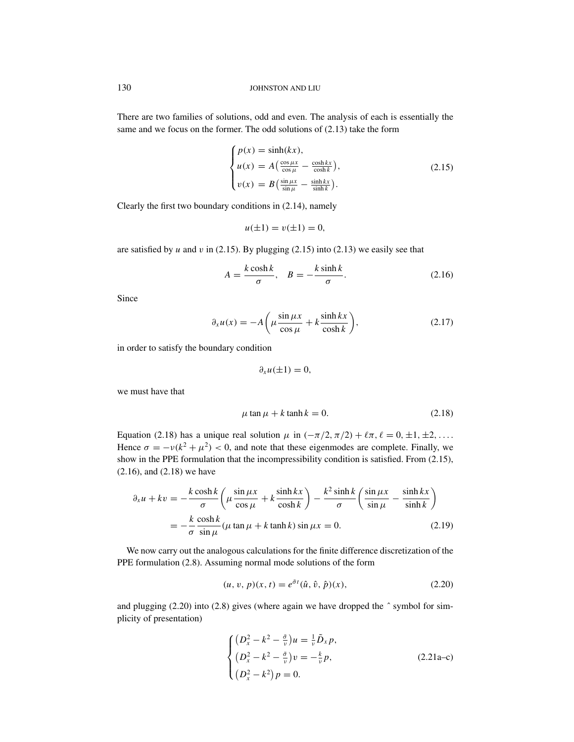There are two families of solutions, odd and even. The analysis of each is essentially the same and we focus on the former. The odd solutions of (2.13) take the form

$$
\begin{cases}\np(x) = \sinh(kx), \\
u(x) = A\left(\frac{\cos\mu x}{\cos\mu} - \frac{\cosh kx}{\cosh k}\right), \\
v(x) = B\left(\frac{\sin\mu x}{\sin\mu} - \frac{\sinh kx}{\sinh k}\right).\n\end{cases} \tag{2.15}
$$

Clearly the first two boundary conditions in (2.14), namely

$$
u(\pm 1) = v(\pm 1) = 0,
$$

are satisfied by  $u$  and  $v$  in (2.15). By plugging (2.15) into (2.13) we easily see that

$$
A = \frac{k \cosh k}{\sigma}, \quad B = -\frac{k \sinh k}{\sigma}.
$$
 (2.16)

Since

$$
\partial_x u(x) = -A \left( \mu \frac{\sin \mu x}{\cos \mu} + k \frac{\sinh kx}{\cosh k} \right),\tag{2.17}
$$

in order to satisfy the boundary condition

$$
\partial_x u(\pm 1)=0,
$$

we must have that

$$
\mu \tan \mu + k \tanh k = 0. \tag{2.18}
$$

Equation (2.18) has a unique real solution  $\mu$  in  $(-\pi/2, \pi/2) + \ell \pi$ ,  $\ell = 0, \pm 1, \pm 2, \ldots$ . Hence  $\sigma = -v(k^2 + \mu^2)$  < 0, and note that these eigenmodes are complete. Finally, we show in the PPE formulation that the incompressibility condition is satisfied. From (2.15), (2.16), and (2.18) we have

$$
\partial_x u + kv = -\frac{k \cosh k}{\sigma} \left( \mu \frac{\sin \mu x}{\cos \mu} + k \frac{\sinh k x}{\cosh k} \right) - \frac{k^2 \sinh k}{\sigma} \left( \frac{\sin \mu x}{\sin \mu} - \frac{\sinh k x}{\sinh k} \right)
$$

$$
= -\frac{k}{\sigma} \frac{\cosh k}{\sin \mu} (\mu \tan \mu + k \tanh k) \sin \mu x = 0. \tag{2.19}
$$

We now carry out the analogous calculations for the finite difference discretization of the PPE formulation (2.8). Assuming normal mode solutions of the form

$$
(u, v, p)(x, t) = e^{\tilde{\sigma}t}(\hat{u}, \hat{v}, \hat{p})(x),
$$
\n(2.20)

and plugging  $(2.20)$  into  $(2.8)$  gives (where again we have dropped the  $\hat{ }$  symbol for simplicity of presentation)

$$
\begin{cases}\n(D_x^2 - k^2 - \frac{\tilde{\sigma}}{v})u = \frac{1}{v}\tilde{D}_x p, \\
(D_x^2 - k^2 - \frac{\tilde{\sigma}}{v})v = -\frac{k}{v}p, \\
(D_x^2 - k^2)p = 0.\n\end{cases}
$$
\n(2.21a-c)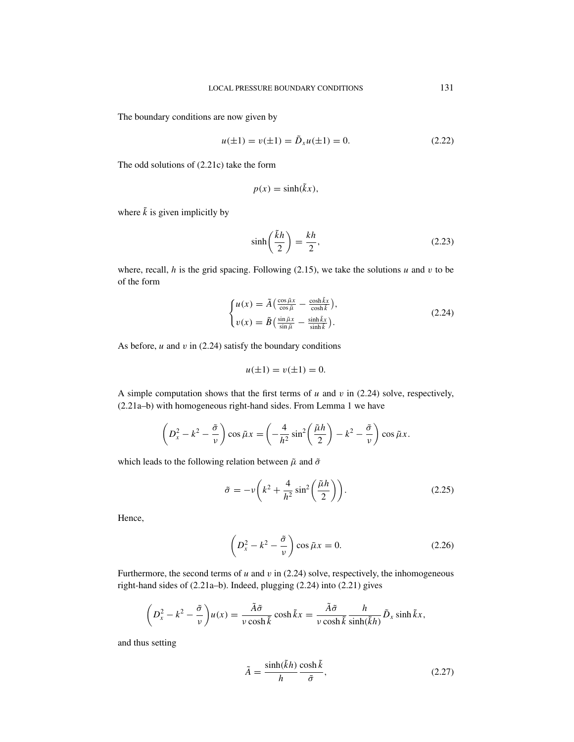The boundary conditions are now given by

$$
u(\pm 1) = v(\pm 1) = \tilde{D}_x u(\pm 1) = 0.
$$
 (2.22)

The odd solutions of (2.21c) take the form

$$
p(x) = \sinh(\tilde{k}x),
$$

where  $\tilde{k}$  is given implicitly by

$$
\sinh\left(\frac{\tilde{k}h}{2}\right) = \frac{kh}{2},\tag{2.23}
$$

where, recall,  $h$  is the grid spacing. Following (2.15), we take the solutions  $u$  and  $v$  to be of the form

$$
\begin{cases}\n u(x) = \tilde{A} \left( \frac{\cos \tilde{\mu} x}{\cos \tilde{\mu}} - \frac{\cosh \tilde{k} x}{\cosh \tilde{k}} \right), \\
 v(x) = \tilde{B} \left( \frac{\sin \tilde{\mu} x}{\sin \tilde{\mu}} - \frac{\sinh \tilde{k} x}{\sinh \tilde{k}} \right).\n\end{cases} \tag{2.24}
$$

As before,  $u$  and  $v$  in (2.24) satisfy the boundary conditions

$$
u(\pm 1) = v(\pm 1) = 0.
$$

A simple computation shows that the first terms of  $u$  and  $v$  in (2.24) solve, respectively, (2.21a–b) with homogeneous right-hand sides. From Lemma 1 we have

$$
\left(D_x^2 - k^2 - \frac{\tilde{\sigma}}{v}\right)\cos \tilde{\mu}x = \left(-\frac{4}{h^2}\sin^2\left(\frac{\tilde{\mu}h}{2}\right) - k^2 - \frac{\tilde{\sigma}}{v}\right)\cos \tilde{\mu}x.
$$

which leads to the following relation between  $\tilde{\mu}$  and  $\tilde{\sigma}$ 

$$
\tilde{\sigma} = -\nu \left( k^2 + \frac{4}{h^2} \sin^2 \left( \frac{\tilde{\mu} h}{2} \right) \right). \tag{2.25}
$$

Hence,

$$
\left(D_x^2 - k^2 - \frac{\tilde{\sigma}}{\nu}\right)\cos\tilde{\mu}x = 0.
$$
\n(2.26)

Furthermore, the second terms of  $u$  and  $v$  in (2.24) solve, respectively, the inhomogeneous right-hand sides of (2.21a–b). Indeed, plugging (2.24) into (2.21) gives

$$
\left(D_x^2 - k^2 - \frac{\tilde{\sigma}}{\nu}\right)u(x) = \frac{\tilde{A}\tilde{\sigma}}{\nu\cosh\tilde{k}}\cosh\tilde{k}x = \frac{\tilde{A}\tilde{\sigma}}{\nu\cosh\tilde{k}}\frac{h}{\sinh(\tilde{k}h)}\tilde{D}_x\sinh\tilde{k}x,
$$

and thus setting

$$
\tilde{A} = \frac{\sinh(\tilde{k}h)}{h} \frac{\cosh \tilde{k}}{\tilde{\sigma}},\tag{2.27}
$$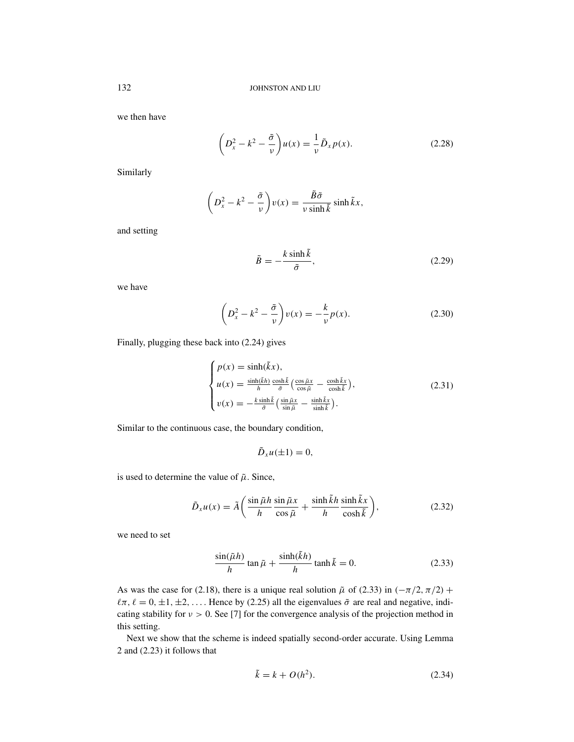we then have

$$
\left(D_x^2 - k^2 - \frac{\tilde{\sigma}}{\nu}\right)u(x) = -\frac{1}{\nu}\tilde{D}_x p(x).
$$
\n(2.28)

Similarly

$$
\left(D_x^2 - k^2 - \frac{\tilde{\sigma}}{v}\right)v(x) = \frac{\tilde{B}\tilde{\sigma}}{v\sinh\tilde{k}}\sinh\tilde{k}x,
$$

and setting

$$
\tilde{B} = -\frac{k \sinh \tilde{k}}{\tilde{\sigma}},\tag{2.29}
$$

we have

$$
\left(D_x^2 - k^2 - \frac{\tilde{\sigma}}{\nu}\right)v(x) = -\frac{k}{\nu}p(x). \tag{2.30}
$$

Finally, plugging these back into (2.24) gives

$$
\begin{cases}\np(x) = \sinh(\tilde{k}x), \\
u(x) = \frac{\sinh(\tilde{k}h)}{h} \frac{\cosh\tilde{k}}{\tilde{\sigma}} \left(\frac{\cos\tilde{\mu}x}{\cos\tilde{\mu}} - \frac{\cosh\tilde{k}x}{\cosh\tilde{k}}\right), \\
v(x) = -\frac{k\sinh\tilde{k}}{\tilde{\sigma}} \left(\frac{\sin\tilde{\mu}x}{\sin\tilde{\mu}} - \frac{\sinh\tilde{k}x}{\sinh\tilde{k}}\right).\n\end{cases}
$$
\n(2.31)

Similar to the continuous case, the boundary condition,

 $\tilde{D}_x u(\pm 1) = 0$ ,

is used to determine the value of  $\tilde{\mu}$ . Since,

$$
\tilde{D}_x u(x) = \tilde{A} \left( \frac{\sin \tilde{\mu} h}{h} \frac{\sin \tilde{\mu} x}{\cos \tilde{\mu}} + \frac{\sinh \tilde{k} h}{h} \frac{\sinh \tilde{k} x}{\cosh \tilde{k}} \right),\tag{2.32}
$$

we need to set

$$
\frac{\sin(\tilde{\mu}h)}{h}\tan\tilde{\mu} + \frac{\sinh(\tilde{k}h)}{h}\tanh\tilde{k} = 0.
$$
 (2.33)

As was the case for (2.18), there is a unique real solution  $\tilde{\mu}$  of (2.33) in ( $-\pi/2$ ,  $\pi/2$ ) +  $\ell \pi$ ,  $\ell = 0, \pm 1, \pm 2, \ldots$ . Hence by (2.25) all the eigenvalues  $\tilde{\sigma}$  are real and negative, indicating stability for  $v > 0$ . See [7] for the convergence analysis of the projection method in this setting.

Next we show that the scheme is indeed spatially second-order accurate. Using Lemma 2 and (2.23) it follows that

$$
\tilde{k} = k + O(h^2). \tag{2.34}
$$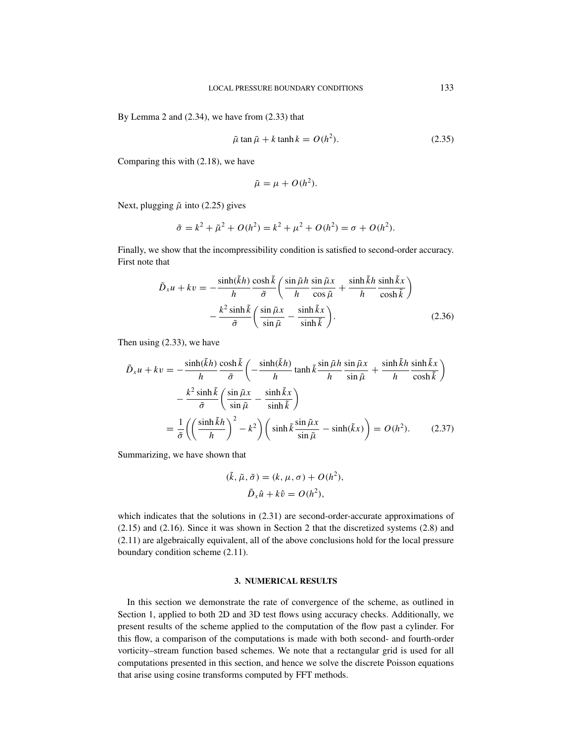By Lemma 2 and (2.34), we have from (2.33) that

$$
\tilde{\mu} \tan \tilde{\mu} + k \tanh k = O(h^2). \tag{2.35}
$$

Comparing this with (2.18), we have

$$
\tilde{\mu} = \mu + O(h^2).
$$

Next, plugging  $\tilde{\mu}$  into (2.25) gives

$$
\tilde{\sigma} = k^2 + \tilde{\mu}^2 + O(h^2) = k^2 + \mu^2 + O(h^2) = \sigma + O(h^2).
$$

Finally, we show that the incompressibility condition is satisfied to second-order accuracy. First note that

$$
\tilde{D}_x u + kv = -\frac{\sinh(\tilde{k}h)}{h} \frac{\cosh \tilde{k}}{\tilde{\sigma}} \left( \frac{\sin \tilde{\mu}h}{h} \frac{\sin \tilde{\mu}x}{\cos \tilde{\mu}} + \frac{\sinh \tilde{k}h}{h} \frac{\sinh \tilde{k}x}{\cosh \tilde{k}} \right) \n- \frac{k^2 \sinh \tilde{k}}{\tilde{\sigma}} \left( \frac{\sin \tilde{\mu}x}{\sin \tilde{\mu}} - \frac{\sinh \tilde{k}x}{\sinh \tilde{k}} \right).
$$
\n(2.36)

Then using (2.33), we have

$$
\tilde{D}_x u + kv = -\frac{\sinh(\tilde{k}h)}{h} \frac{\cosh \tilde{k}}{\tilde{\sigma}} \left( -\frac{\sinh(\tilde{k}h)}{h} \tanh \tilde{k} \frac{\sin \tilde{\mu}h}{h} \frac{\sin \tilde{\mu}x}{\sin \tilde{\mu}} + \frac{\sinh \tilde{k}h}{h} \frac{\sinh \tilde{k}x}{\cosh \tilde{k}} \right)
$$

$$
- \frac{k^2 \sinh \tilde{k}}{\tilde{\sigma}} \left( \frac{\sin \tilde{\mu}x}{\sin \tilde{\mu}} - \frac{\sinh \tilde{k}x}{\sinh \tilde{k}} \right)
$$

$$
= \frac{1}{\tilde{\sigma}} \left( \left( \frac{\sinh \tilde{k}h}{h} \right)^2 - k^2 \right) \left( \sinh \tilde{k} \frac{\sin \tilde{\mu}x}{\sin \tilde{\mu}} - \sinh(\tilde{k}x) \right) = O(h^2). \tag{2.37}
$$

Summarizing, we have shown that

$$
(\tilde{k}, \tilde{\mu}, \tilde{\sigma}) = (k, \mu, \sigma) + O(h^2),
$$
  

$$
\tilde{D}_x \hat{u} + k \hat{v} = O(h^2),
$$

which indicates that the solutions in  $(2.31)$  are second-order-accurate approximations of (2.15) and (2.16). Since it was shown in Section 2 that the discretized systems (2.8) and (2.11) are algebraically equivalent, all of the above conclusions hold for the local pressure boundary condition scheme (2.11).

#### **3. NUMERICAL RESULTS**

In this section we demonstrate the rate of convergence of the scheme, as outlined in Section 1, applied to both 2D and 3D test flows using accuracy checks. Additionally, we present results of the scheme applied to the computation of the flow past a cylinder. For this flow, a comparison of the computations is made with both second- and fourth-order vorticity–stream function based schemes. We note that a rectangular grid is used for all computations presented in this section, and hence we solve the discrete Poisson equations that arise using cosine transforms computed by FFT methods.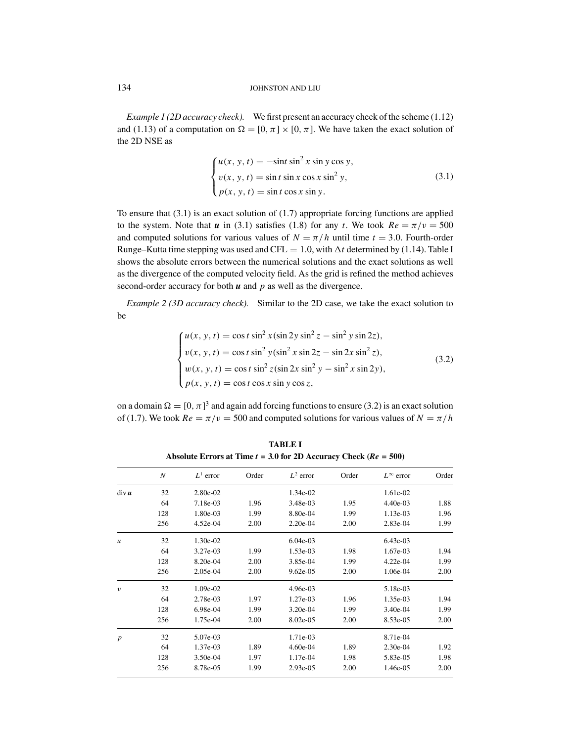*Example 1 (2D accuracy check).* We first present an accuracy check of the scheme (1.12) and (1.13) of a computation on  $\Omega = [0, \pi] \times [0, \pi]$ . We have taken the exact solution of the 2D NSE as

$$
\begin{cases}\n u(x, y, t) = -\sin t \sin^2 x \sin y \cos y, \\
 v(x, y, t) = \sin t \sin x \cos x \sin^2 y, \\
 p(x, y, t) = \sin t \cos x \sin y.\n\end{cases}
$$
\n(3.1)

To ensure that  $(3.1)$  is an exact solution of  $(1.7)$  appropriate forcing functions are applied to the system. Note that *u* in (3.1) satisfies (1.8) for any *t*. We took  $Re = \pi/v = 500$ and computed solutions for various values of  $N = \pi/h$  until time  $t = 3.0$ . Fourth-order Runge–Kutta time stepping was used and CFL = 1.0, with  $\Delta t$  determined by (1.14). Table I shows the absolute errors between the numerical solutions and the exact solutions as well as the divergence of the computed velocity field. As the grid is refined the method achieves second-order accuracy for both *u* and *p* as well as the divergence.

*Example 2 (3D accuracy check).* Similar to the 2D case, we take the exact solution to be

$$
\begin{cases}\nu(x, y, t) = \cos t \sin^2 x (\sin 2y \sin^2 z - \sin^2 y \sin 2z),\nv(x, y, t) = \cos t \sin^2 y (\sin^2 x \sin 2z - \sin 2x \sin^2 z),\nw(x, y, t) = \cos t \sin^2 z (\sin 2x \sin^2 y - \sin^2 x \sin 2y),\np(x, y, t) = \cos t \cos x \sin y \cos z,\n\end{cases}
$$
\n(3.2)

on a domain  $\Omega = [0, \pi]^3$  and again add forcing functions to ensure (3.2) is an exact solution of (1.7). We took  $Re = \pi/v = 500$  and computed solutions for various values of  $N = \pi/h$ 

*N L*<sup>1</sup> error Order *L*<sup>2</sup> error Order *L*∞ error Order div *u* 32 2.80e-02 1.34e-02 1.61e-02 64 7.18e-03 1.96 3.48e-03 1.95 4.40e-03 1.88 128 1.80e-03 1.99 8.80e-04 1.99 1.13e-03 1.96 256 4.52e-04 2.00 2.20e-04 2.00 2.83e-04 1.99 *u* 32 1.30e-02 6.04e-03 6.43e-03 6.43e-03 64 3.27e-03 1.99 1.53e-03 1.98 1.67e-03 1.94 128 8.20e-04 2.00 3.85e-04 1.99 4.22e-04 1.99 256 2.05e-04 2.00 9.62e-05 2.00 1.06e-04 2.00 v 32 1.09e-02 4.96e-03 5.18e-03 64 2.78e-03 1.97 1.27e-03 1.96 1.35e-03 1.94 128 6.98e-04 1.99 3.20e-04 1.99 3.40e-04 1.99 256 1.75e-04 2.00 8.02e-05 2.00 8.53e-05 2.00 *p* 32 5.07e-03 1.71e-03 8.71e-04 64 1.37e-03 1.89 4.60e-04 1.89 2.30e-04 1.92 128 3.50e-04 1.97 1.17e-04 1.98 5.83e-05 1.98 256 8.78e-05 1.99 2.93e-05 2.00 1.46e-05 2.00

**TABLE I** Absolute Errors at Time  $t = 3.0$  for 2D Accuracy Check ( $Re = 500$ )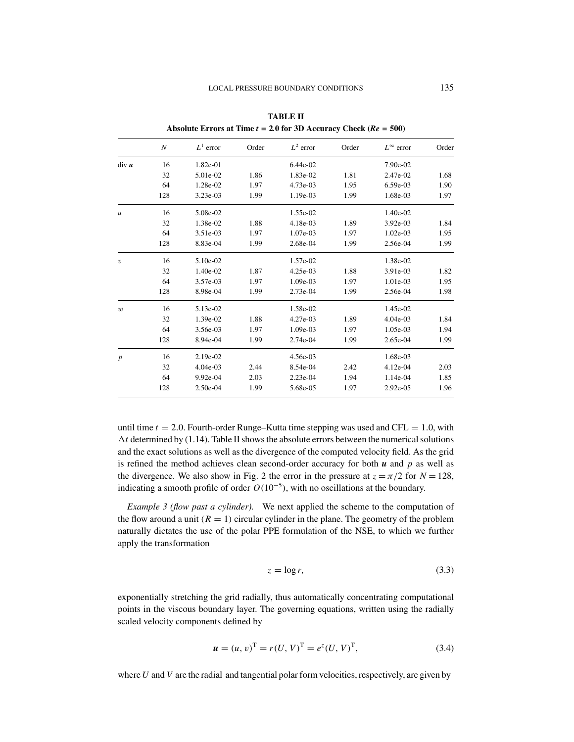|                  | $\boldsymbol{N}$ | $L^1$ error | Order | $L^2$ error | Order | $L^{\infty}$ error | Order |
|------------------|------------------|-------------|-------|-------------|-------|--------------------|-------|
| div u            | 16               | 1.82e-01    |       | $6.44e-02$  |       | 7.90e-02           |       |
|                  | 32               | 5.01e-02    | 1.86  | 1.83e-02    | 1.81  | 2.47e-02           | 1.68  |
|                  | 64               | 1.28e-02    | 1.97  | 4.73e-03    | 1.95  | $6.59e-03$         | 1.90  |
|                  | 128              | 3.23e-03    | 1.99  | 1.19e-03    | 1.99  | 1.68e-03           | 1.97  |
| $\mathfrak u$    | 16               | 5.08e-02    |       | 1.55e-02    |       | 1.40e-02           |       |
|                  | 32               | 1.38e-02    | 1.88  | 4.18e-03    | 1.89  | $3.92e-03$         | 1.84  |
|                  | 64               | 3.51e-03    | 1.97  | 1.07e-03    | 1.97  | $1.02e-03$         | 1.95  |
|                  | 128              | 8.83e-04    | 1.99  | 2.68e-04    | 1.99  | 2.56e-04           | 1.99  |
| $\upsilon$       | 16               | 5.10e-02    |       | 1.57e-02    |       | 1.38e-02           |       |
|                  | 32               | 1.40e-02    | 1.87  | $4.25e-03$  | 1.88  | 3.91e-03           | 1.82  |
|                  | 64               | 3.57e-03    | 1.97  | 1.09e-03    | 1.97  | 1.01e-03           | 1.95  |
|                  | 128              | 8.98e-04    | 1.99  | $2.73e-04$  | 1.99  | 2.56e-04           | 1.98  |
| $\boldsymbol{w}$ | 16               | 5.13e-02    |       | 1.58e-02    |       | 1.45e-02           |       |
|                  | 32               | 1.39e-02    | 1.88  | 4.27e-03    | 1.89  | $4.04e-03$         | 1.84  |
|                  | 64               | 3.56e-03    | 1.97  | 1.09e-03    | 1.97  | 1.05e-03           | 1.94  |
|                  | 128              | 8.94e-04    | 1.99  | 2.74e-04    | 1.99  | 2.65e-04           | 1.99  |
| $\boldsymbol{p}$ | 16               | 2.19e-02    |       | 4.56e-03    |       | 1.68e-03           |       |
|                  | 32               | $4.04e-03$  | 2.44  | 8.54e-04    | 2.42  | 4.12e-04           | 2.03  |
|                  | 64               | 9.92e-04    | 2.03  | 2.23e-04    | 1.94  | 1.14e-04           | 1.85  |
|                  | 128              | 2.50e-04    | 1.99  | 5.68e-05    | 1.97  | 2.92e-05           | 1.96  |
|                  |                  |             |       |             |       |                    |       |

**TABLE II Absolute Errors at Time** *t* **= 2***.***0 for 3D Accuracy Check (***Re* **= 500)**

until time  $t = 2.0$ . Fourth-order Runge–Kutta time stepping was used and CFL  $= 1.0$ , with  $\Delta t$  determined by (1.14). Table II shows the absolute errors between the numerical solutions and the exact solutions as well as the divergence of the computed velocity field. As the grid is refined the method achieves clean second-order accuracy for both *u* and *p* as well as the divergence. We also show in Fig. 2 the error in the pressure at  $z = \pi/2$  for  $N = 128$ , indicating a smooth profile of order  $O(10^{-5})$ , with no oscillations at the boundary.

*Example 3 (flow past a cylinder).* We next applied the scheme to the computation of the flow around a unit  $(R = 1)$  circular cylinder in the plane. The geometry of the problem naturally dictates the use of the polar PPE formulation of the NSE, to which we further apply the transformation

$$
z = \log r,\tag{3.3}
$$

exponentially stretching the grid radially, thus automatically concentrating computational points in the viscous boundary layer. The governing equations, written using the radially scaled velocity components defined by

$$
\mathbf{u} = (u, v)^{\mathrm{T}} = r(U, V)^{\mathrm{T}} = e^{z}(U, V)^{\mathrm{T}}, \tag{3.4}
$$

where *U* and *V* are the radial and tangential polar form velocities, respectively, are given by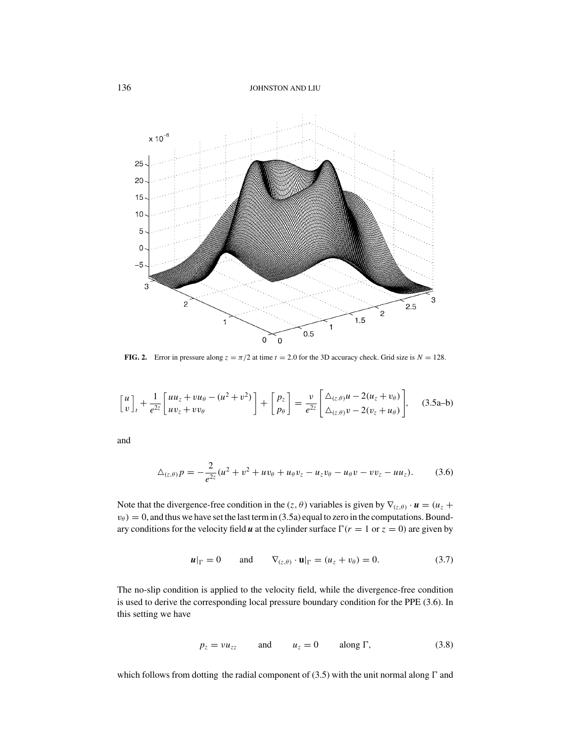

**FIG. 2.** Error in pressure along  $z = \pi/2$  at time  $t = 2.0$  for the 3D accuracy check. Grid size is  $N = 128$ .

$$
\begin{bmatrix} u \\ v \end{bmatrix}_t + \frac{1}{e^{2z}} \begin{bmatrix} u u_z + v u_\theta - (u^2 + v^2) \\ u v_z + v v_\theta \end{bmatrix} + \begin{bmatrix} p_z \\ p_\theta \end{bmatrix} = \frac{v}{e^{2z}} \begin{bmatrix} \Delta_{(z,\theta)} u - 2(u_z + v_\theta) \\ \Delta_{(z,\theta)} v - 2(v_z + u_\theta) \end{bmatrix}, \quad (3.5a-b)
$$

and

$$
\Delta_{(z,\theta)} p = -\frac{2}{e^{2z}} (u^2 + v^2 + uv_\theta + u_\theta v_z - u_z v_\theta - u_\theta v - v v_z - u u_z). \tag{3.6}
$$

Note that the divergence-free condition in the (*z*,  $\theta$ ) variables is given by  $\nabla$ <sub>(*z*, $\theta$ ) ·  $u = (u_z +$ </sub>  $v_{\theta}$  = 0, and thus we have set the last term in (3.5a) equal to zero in the computations. Boundary conditions for the velocity field *u* at the cylinder surface  $\Gamma(r = 1 \text{ or } z = 0)$  are given by

$$
\boldsymbol{u}|_{\Gamma} = 0 \quad \text{and} \quad \nabla_{(z,\theta)} \cdot \mathbf{u}|_{\Gamma} = (u_z + v_\theta) = 0. \tag{3.7}
$$

The no-slip condition is applied to the velocity field, while the divergence-free condition is used to derive the corresponding local pressure boundary condition for the PPE (3.6). In this setting we have

$$
p_z = v u_{zz} \qquad \text{and} \qquad u_z = 0 \qquad \text{along } \Gamma,
$$
 (3.8)

which follows from dotting the radial component of  $(3.5)$  with the unit normal along  $\Gamma$  and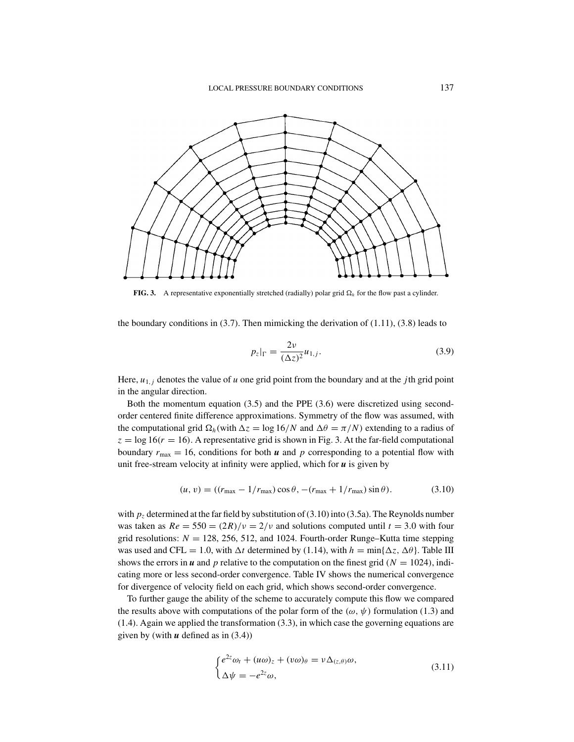

**FIG. 3.** A representative exponentially stretched (radially) polar grid  $\Omega_h$  for the flow past a cylinder.

the boundary conditions in  $(3.7)$ . Then mimicking the derivation of  $(1.11)$ ,  $(3.8)$  leads to

$$
p_z|_{\Gamma} = \frac{2\nu}{(\Delta z)^2} u_{1,j}.
$$
\n(3.9)

Here,  $u_{1,i}$  denotes the value of *u* one grid point from the boundary and at the *j*th grid point in the angular direction.

Both the momentum equation (3.5) and the PPE (3.6) were discretized using secondorder centered finite difference approximations. Symmetry of the flow was assumed, with the computational grid  $\Omega_h$ (with  $\Delta z = \log 16/N$  and  $\Delta \theta = \pi/N$ ) extending to a radius of  $z = \log 16(r = 16)$ . A representative grid is shown in Fig. 3. At the far-field computational boundary  $r_{\text{max}} = 16$ , conditions for both *u* and *p* corresponding to a potential flow with unit free-stream velocity at infinity were applied, which for *u* is given by

$$
(u, v) = ((r_{\text{max}} - 1/r_{\text{max}}) \cos \theta, -(r_{\text{max}} + 1/r_{\text{max}}) \sin \theta). \tag{3.10}
$$

with  $p_z$  determined at the far field by substitution of (3.10) into (3.5a). The Reynolds number was taken as  $Re = 550 = (2R)/v = 2/v$  and solutions computed until  $t = 3.0$  with four grid resolutions:  $N = 128, 256, 512,$  and 1024. Fourth-order Runge–Kutta time stepping was used and CFL = 1.0, with  $\Delta t$  determined by (1.14), with  $h = \min{\{\Delta z, \Delta \theta\}}$ . Table III shows the errors in *u* and *p* relative to the computation on the finest grid ( $N = 1024$ ), indicating more or less second-order convergence. Table IV shows the numerical convergence for divergence of velocity field on each grid, which shows second-order convergence.

To further gauge the ability of the scheme to accurately compute this flow we compared the results above with computations of the polar form of the ( $\omega, \psi$ ) formulation (1.3) and (1.4). Again we applied the transformation (3.3), in which case the governing equations are given by (with  $u$  defined as in  $(3.4)$ )

$$
\begin{cases} e^{2z}\omega_t + (u\omega)_z + (v\omega)_\theta = v\Delta_{(z,\theta)}\omega, \\ \Delta\psi = -e^{2z}\omega, \end{cases}
$$
\n(3.11)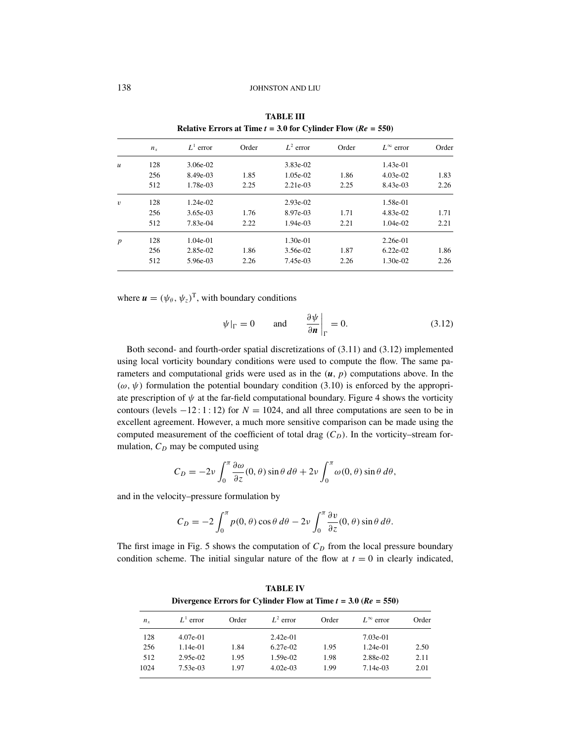|                  | <b>INTRODUCED IN THE <math>\ell = 3.0</math> for Cymnute Flow (At <math>\ell = 330</math>)</b> |             |       |             |       |                    |       |
|------------------|------------------------------------------------------------------------------------------------|-------------|-------|-------------|-------|--------------------|-------|
|                  | $n_{x}$                                                                                        | $L^1$ error | Order | $L^2$ error | Order | $L^{\infty}$ error | Order |
| $\boldsymbol{u}$ | 128                                                                                            | 3.06e-02    |       | 3.83e-02    |       | $1.43e-01$         |       |
|                  | 256                                                                                            | 8.49e-03    | 1.85  | $1.05e-02$  | 1.86  | $4.03e-02$         | 1.83  |
|                  | 512                                                                                            | 1.78e-03    | 2.25  | 2.21e-03    | 2.25  | 8.43e-03           | 2.26  |
| $\boldsymbol{v}$ | 128                                                                                            | $1.24e-02$  |       | $2.93e-02$  |       | 1.58e-01           |       |
|                  | 256                                                                                            | 3.65e-03    | 1.76  | 8.97e-03    | 1.71  | 4.83e-02           | 1.71  |
|                  | 512                                                                                            | 7.83e-04    | 2.22  | $1.94e-03$  | 2.21  | $1.04e-02$         | 2.21  |
| $\boldsymbol{p}$ | 128                                                                                            | 1.04e-01    |       | $1.30e-01$  |       | $2.26e-01$         |       |
|                  | 256                                                                                            | 2.85e-02    | 1.86  | 3.56e-02    | 1.87  | $6.22e-02$         | 1.86  |
|                  | 512                                                                                            | 5.96e-03    | 2.26  | 7.45e-03    | 2.26  | 1.30e-02           | 2.26  |
|                  |                                                                                                |             |       |             |       |                    |       |

**TABLE III Relative Errors at Time**  $t = 3.0$  **for Cylinder Flow**  $(P_{\theta} = 550)$ 

where  $\mathbf{u} = (\psi_{\theta}, \psi_{z})^{\mathrm{T}}$ , with boundary conditions

$$
\psi|_{\Gamma} = 0
$$
 and  $\frac{\partial \psi}{\partial n}\bigg|_{\Gamma} = 0.$  (3.12)

Both second- and fourth-order spatial discretizations of (3.11) and (3.12) implemented using local vorticity boundary conditions were used to compute the flow. The same parameters and computational grids were used as in the  $(u, p)$  computations above. In the  $(\omega, \psi)$  formulation the potential boundary condition (3.10) is enforced by the appropriate prescription of  $\psi$  at the far-field computational boundary. Figure 4 shows the vorticity contours (levels  $-12:1:12$ ) for  $N = 1024$ , and all three computations are seen to be in excellent agreement. However, a much more sensitive comparison can be made using the computed measurement of the coefficient of total drag  $(C_D)$ . In the vorticity–stream formulation,  $C_D$  may be computed using

$$
C_D = -2\nu \int_0^{\pi} \frac{\partial \omega}{\partial z}(0, \theta) \sin \theta \, d\theta + 2\nu \int_0^{\pi} \omega(0, \theta) \sin \theta \, d\theta,
$$

and in the velocity–pressure formulation by

$$
C_D = -2 \int_0^{\pi} p(0,\theta) \cos \theta \, d\theta - 2\nu \int_0^{\pi} \frac{\partial v}{\partial z}(0,\theta) \sin \theta \, d\theta.
$$

The first image in Fig. 5 shows the computation of  $C<sub>D</sub>$  from the local pressure boundary condition scheme. The initial singular nature of the flow at  $t = 0$  in clearly indicated,

*n<sub>x</sub> L*<sup>1</sup> error Order *L*<sup>2</sup> error Order *L*∞ error Order 128 4.07e-01 2.42e-01 7.03e-01 256 1.14e-01 1.84 6.27e-02 1.95 1.24e-01 2.50 512 2.95e-02 1.95 1.59e-02 1.98 2.88e-02 2.11 1024 7.53e-03 1.97 4.02e-03 1.99 7.14e-03 2.01

**TABLE IV Divergence Errors for Cylinder Flow at Time**  $t = 3.0$  **(** $Re = 550$ **)**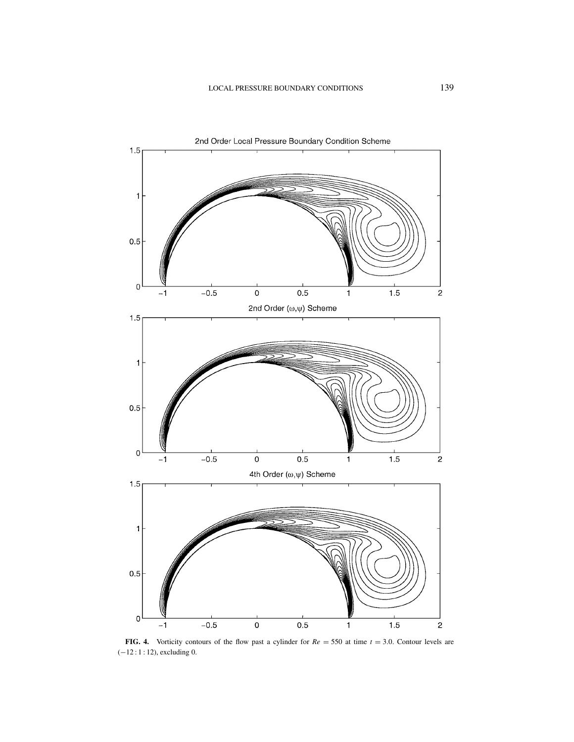

**FIG. 4.** Vorticity contours of the flow past a cylinder for  $Re = 550$  at time  $t = 3.0$ . Contour levels are (−12 : 1 : 12), excluding 0.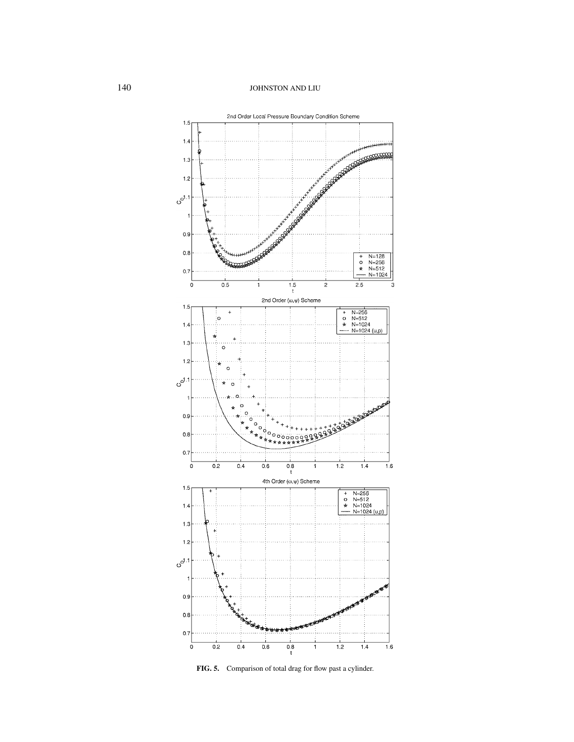

**FIG. 5.** Comparison of total drag for flow past a cylinder.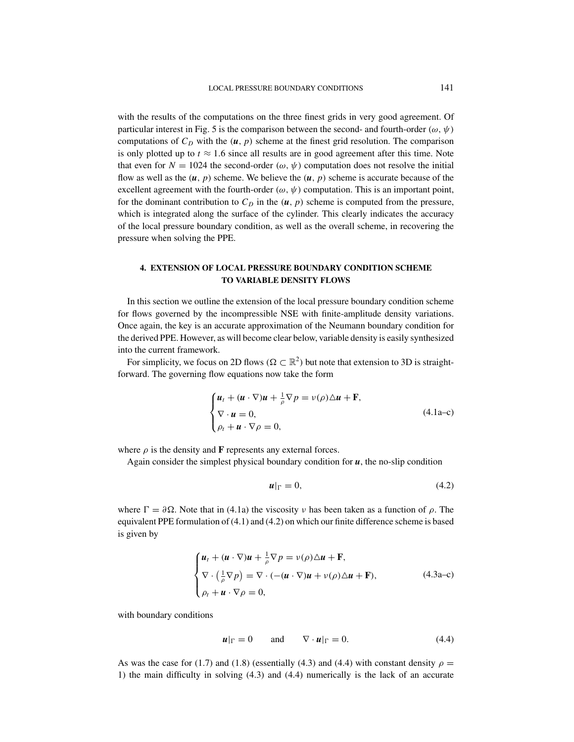with the results of the computations on the three finest grids in very good agreement. Of particular interest in Fig. 5 is the comparison between the second- and fourth-order  $(\omega, \psi)$ computations of  $C<sub>D</sub>$  with the  $(u, p)$  scheme at the finest grid resolution. The comparison is only plotted up to  $t \approx 1.6$  since all results are in good agreement after this time. Note that even for  $N = 1024$  the second-order ( $\omega, \psi$ ) computation does not resolve the initial flow as well as the  $(u, p)$  scheme. We believe the  $(u, p)$  scheme is accurate because of the excellent agreement with the fourth-order ( $\omega$ ,  $\psi$ ) computation. This is an important point, for the dominant contribution to  $C<sub>D</sub>$  in the (*u*, *p*) scheme is computed from the pressure, which is integrated along the surface of the cylinder. This clearly indicates the accuracy of the local pressure boundary condition, as well as the overall scheme, in recovering the pressure when solving the PPE.

## **4. EXTENSION OF LOCAL PRESSURE BOUNDARY CONDITION SCHEME TO VARIABLE DENSITY FLOWS**

In this section we outline the extension of the local pressure boundary condition scheme for flows governed by the incompressible NSE with finite-amplitude density variations. Once again, the key is an accurate approximation of the Neumann boundary condition for the derived PPE. However, as will become clear below, variable density is easily synthesized into the current framework.

For simplicity, we focus on 2D flows ( $\Omega \subset \mathbb{R}^2$ ) but note that extension to 3D is straightforward. The governing flow equations now take the form

$$
\begin{cases} \boldsymbol{u}_t + (\boldsymbol{u} \cdot \nabla) \boldsymbol{u} + \frac{1}{\rho} \nabla p = \nu(\rho) \Delta \boldsymbol{u} + \mathbf{F}, \\ \nabla \cdot \boldsymbol{u} = 0, \\ \rho_t + \boldsymbol{u} \cdot \nabla \rho = 0, \end{cases}
$$
 (4.1a–c)

where  $\rho$  is the density and **F** represents any external forces.

Again consider the simplest physical boundary condition for  $u$ , the no-slip condition

$$
u|_{\Gamma} = 0, \tag{4.2}
$$

where  $\Gamma = \partial \Omega$ . Note that in (4.1a) the viscosity v has been taken as a function of  $\rho$ . The equivalent PPE formulation of (4.1) and (4.2) on which our finite difference scheme is based is given by

$$
\begin{cases}\n\mathbf{u}_t + (\mathbf{u} \cdot \nabla)\mathbf{u} + \frac{1}{\rho} \nabla p = \nu(\rho)\Delta \mathbf{u} + \mathbf{F}, \\
\nabla \cdot \left(\frac{1}{\rho} \nabla p\right) = \nabla \cdot \left(-(\mathbf{u} \cdot \nabla)\mathbf{u} + \nu(\rho)\Delta \mathbf{u} + \mathbf{F}\right), \\
\rho_t + \mathbf{u} \cdot \nabla \rho = 0,\n\end{cases}
$$
\n(4.3a-c)

with boundary conditions

$$
\boldsymbol{u}|_{\Gamma} = 0 \quad \text{and} \quad \nabla \cdot \boldsymbol{u}|_{\Gamma} = 0. \tag{4.4}
$$

As was the case for (1.7) and (1.8) (essentially (4.3) and (4.4) with constant density  $\rho =$ 1) the main difficulty in solving (4.3) and (4.4) numerically is the lack of an accurate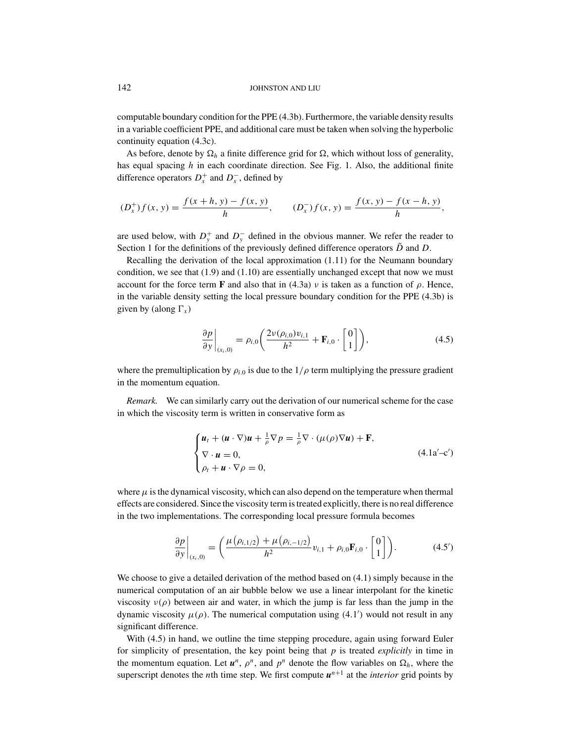computable boundary condition for the PPE (4.3b). Furthermore, the variable density results in a variable coefficient PPE, and additional care must be taken when solving the hyperbolic continuity equation (4.3c).

As before, denote by  $\Omega_h$  a finite difference grid for  $\Omega$ , which without loss of generality, has equal spacing *h* in each coordinate direction. See Fig. 1. Also, the additional finite difference operators  $D_x^+$  and  $D_x^-$ , defined by

$$
(D_x^+) f(x, y) = \frac{f(x+h, y) - f(x, y)}{h}, \qquad (D_x^-) f(x, y) = \frac{f(x, y) - f(x-h, y)}{h},
$$

are used below, with  $D_y^+$  and  $D_y^-$  defined in the obvious manner. We refer the reader to Section 1 for the definitions of the previously defined difference operators  $\tilde{D}$  and  $D$ .

Recalling the derivation of the local approximation (1.11) for the Neumann boundary condition, we see that  $(1.9)$  and  $(1.10)$  are essentially unchanged except that now we must account for the force term **F** and also that in (4.3a)  $\nu$  is taken as a function of  $\rho$ . Hence, in the variable density setting the local pressure boundary condition for the PPE (4.3b) is given by (along  $\Gamma_x$ )

$$
\left. \frac{\partial p}{\partial y} \right|_{(x_i,0)} = \rho_{i,0} \left( \frac{2\nu(\rho_{i,0})v_{i,1}}{h^2} + \mathbf{F}_{i,0} \cdot \begin{bmatrix} 0 \\ 1 \end{bmatrix} \right),\tag{4.5}
$$

where the premultiplication by  $\rho_{i,0}$  is due to the  $1/\rho$  term multiplying the pressure gradient in the momentum equation.

*Remark.* We can similarly carry out the derivation of our numerical scheme for the case in which the viscosity term is written in conservative form as

$$
\begin{cases} \n\boldsymbol{u}_t + (\boldsymbol{u} \cdot \nabla) \boldsymbol{u} + \frac{1}{\rho} \nabla p = \frac{1}{\rho} \nabla \cdot (\mu(\rho) \nabla \boldsymbol{u}) + \mathbf{F}, \\ \nabla \cdot \boldsymbol{u} = 0, \\ \n\rho_t + \boldsymbol{u} \cdot \nabla \rho = 0, \n\end{cases} \tag{4.1a'-c'}
$$

where  $\mu$  is the dynamical viscosity, which can also depend on the temperature when thermal effects are considered. Since the viscosity term is treated explicitly, there is no real difference in the two implementations. The corresponding local pressure formula becomes

$$
\frac{\partial p}{\partial y}\Big|_{(x_i,0)} = \left(\frac{\mu(\rho_{i,1/2}) + \mu(\rho_{i,-1/2})}{h^2}v_{i,1} + \rho_{i,0}F_{i,0} \cdot \begin{bmatrix} 0\\1 \end{bmatrix}\right).
$$
 (4.5')

We choose to give a detailed derivation of the method based on  $(4.1)$  simply because in the numerical computation of an air bubble below we use a linear interpolant for the kinetic viscosity  $v(\rho)$  between air and water, in which the jump is far less than the jump in the dynamic viscosity  $\mu(\rho)$ . The numerical computation using (4.1') would not result in any significant difference.

With (4.5) in hand, we outline the time stepping procedure, again using forward Euler for simplicity of presentation, the key point being that *p* is treated *explicitly* in time in the momentum equation. Let  $u^n$ ,  $\rho^n$ , and  $p^n$  denote the flow variables on  $\Omega_h$ , where the superscript denotes the *n*th time step. We first compute  $u^{n+1}$  at the *interior* grid points by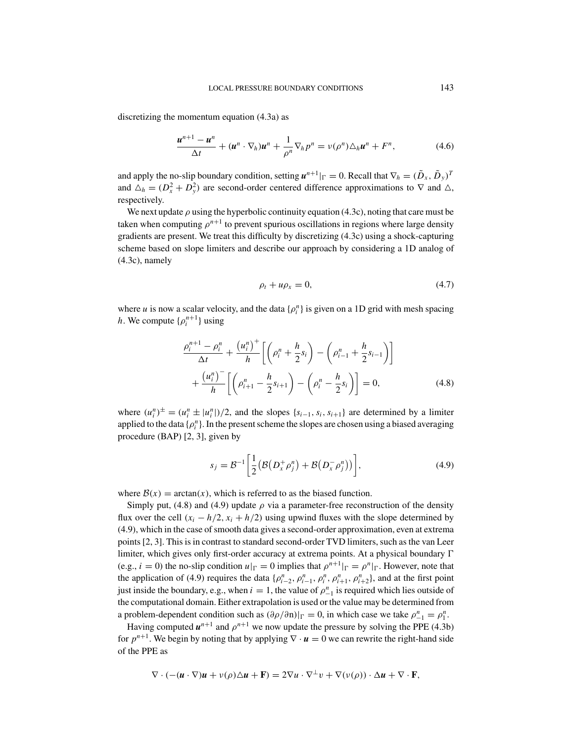discretizing the momentum equation (4.3a) as

$$
\frac{\boldsymbol{u}^{n+1}-\boldsymbol{u}^n}{\Delta t}+(\boldsymbol{u}^n\cdot\nabla_h)\boldsymbol{u}^n+\frac{1}{\rho^n}\nabla_h p^n=\nu(\rho^n)\Delta_h\boldsymbol{u}^n+F^n,\qquad(4.6)
$$

and apply the no-slip boundary condition, setting  $u^{n+1}|_{\Gamma} = 0$ . Recall that  $\nabla_h = (\tilde{D}_x, \tilde{D}_y)^T$ and  $\Delta_h = (D_x^2 + D_y^2)$  are second-order centered difference approximations to  $\nabla$  and  $\Delta$ , respectively.

We next update  $\rho$  using the hyperbolic continuity equation (4.3c), noting that care must be taken when computing  $\rho^{n+1}$  to prevent spurious oscillations in regions where large density gradients are present. We treat this difficulty by discretizing (4.3c) using a shock-capturing scheme based on slope limiters and describe our approach by considering a 1D analog of (4.3c), namely

$$
\rho_t + u\rho_x = 0,\tag{4.7}
$$

where *u* is now a scalar velocity, and the data  $\{\rho_i^n\}$  is given on a 1D grid with mesh spacing *h*. We compute  $\{\rho_i^{n+1}\}\$ using

$$
\frac{\rho_i^{n+1} - \rho_i^n}{\Delta t} + \frac{(u_i^n)^+}{h} \left[ \left( \rho_i^n + \frac{h}{2} s_i \right) - \left( \rho_{i-1}^n + \frac{h}{2} s_{i-1} \right) \right] + \frac{(u_i^n)^-}{h} \left[ \left( \rho_{i+1}^n - \frac{h}{2} s_{i+1} \right) - \left( \rho_i^n - \frac{h}{2} s_i \right) \right] = 0,
$$
\n(4.8)

where  $(u_i^n)^\pm = (u_i^n \pm |u_i^n|)/2$ , and the slopes  $\{s_{i-1}, s_i, s_{i+1}\}$  are determined by a limiter applied to the data  $\{\rho_i^n\}$ . In the present scheme the slopes are chosen using a biased averaging procedure (BAP) [2, 3], given by

$$
s_j = \mathcal{B}^{-1} \left[ \frac{1}{2} \left( \mathcal{B} \left( D_x^+ \rho_j^n \right) + \mathcal{B} \left( D_x^- \rho_j^n \right) \right) \right],\tag{4.9}
$$

where  $B(x) = \arctan(x)$ , which is referred to as the biased function.

Simply put, (4.8) and (4.9) update  $\rho$  via a parameter-free reconstruction of the density flux over the cell  $(x_i - h/2, x_i + h/2)$  using upwind fluxes with the slope determined by (4.9), which in the case of smooth data gives a second-order approximation, even at extrema points [2, 3]. This is in contrast to standard second-order TVD limiters, such as the van Leer limiter, which gives only first-order accuracy at extrema points. At a physical boundary (e.g.,  $i = 0$ ) the no-slip condition  $u|_{\Gamma} = 0$  implies that  $\rho^{n+1}|_{\Gamma} = \rho^n|_{\Gamma}$ . However, note that the application of (4.9) requires the data  $\{\rho_{i-2}^n, \rho_{i-1}^n, \rho_i^n, \rho_{i+1}^n, \rho_{i+2}^n\}$ , and at the first point just inside the boundary, e.g., when  $i = 1$ , the value of  $\rho_{-1}^n$  is required which lies outside of the computational domain. Either extrapolation is used or the value may be determined from a problem-dependent condition such as  $(\partial \rho / \partial n)|_{\Gamma} = 0$ , in which case we take  $\rho_{-1}^n = \rho_1^n$ .

Having computed  $u^{n+1}$  and  $\rho^{n+1}$  we now update the pressure by solving the PPE (4.3b) for  $p^{n+1}$ . We begin by noting that by applying  $\nabla \cdot \mathbf{u} = 0$  we can rewrite the right-hand side of the PPE as

$$
\nabla \cdot (-(\mathbf{u}\cdot\nabla)\mathbf{u}+\mathbf{v}(\rho)\Delta\mathbf{u}+\mathbf{F})=2\nabla\mathbf{u}\cdot\nabla^{\perp}\mathbf{v}+\nabla(\mathbf{v}(\rho))\cdot\Delta\mathbf{u}+\nabla\cdot\mathbf{F},
$$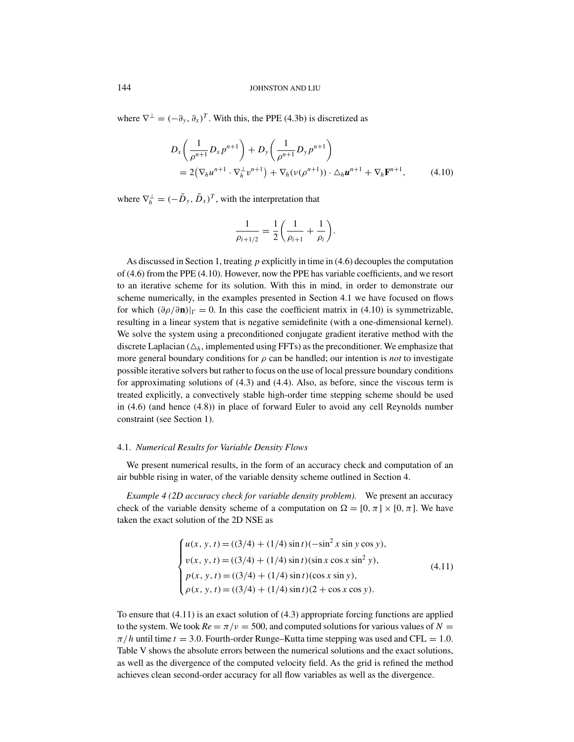where  $\nabla^{\perp} = (-\partial_y, \partial_x)^T$ . With this, the PPE (4.3b) is discretized as

$$
D_x \left( \frac{1}{\rho^{n+1}} D_x p^{n+1} \right) + D_y \left( \frac{1}{\rho^{n+1}} D_y p^{n+1} \right)
$$
  
=  $2 (\nabla_h u^{n+1} \cdot \nabla_h^{\perp} v^{n+1}) + \nabla_h (\nu (\rho^{n+1})) \cdot \Delta_h u^{n+1} + \nabla_h \mathbf{F}^{n+1},$  (4.10)

where  $\nabla_h^{\perp} = (-\tilde{D}_y, \tilde{D}_x)^T$ , with the interpretation that

$$
\frac{1}{\rho_{i+1/2}} = \frac{1}{2} \left( \frac{1}{\rho_{i+1}} + \frac{1}{\rho_i} \right).
$$

As discussed in Section 1, treating *p* explicitly in time in (4.6) decouples the computation of (4.6) from the PPE (4.10). However, now the PPE has variable coefficients, and we resort to an iterative scheme for its solution. With this in mind, in order to demonstrate our scheme numerically, in the examples presented in Section 4.1 we have focused on flows for which  $(\partial \rho / \partial \mathbf{n})|_{\Gamma} = 0$ . In this case the coefficient matrix in (4.10) is symmetrizable, resulting in a linear system that is negative semidefinite (with a one-dimensional kernel). We solve the system using a preconditioned conjugate gradient iterative method with the discrete Laplacian  $(\Delta_h)$ , implemented using FFTs) as the preconditioner. We emphasize that more general boundary conditions for  $\rho$  can be handled; our intention is *not* to investigate possible iterative solvers but rather to focus on the use of local pressure boundary conditions for approximating solutions of (4.3) and (4.4). Also, as before, since the viscous term is treated explicitly, a convectively stable high-order time stepping scheme should be used in (4.6) (and hence (4.8)) in place of forward Euler to avoid any cell Reynolds number constraint (see Section 1).

## 4.1. *Numerical Results for Variable Density Flows*

We present numerical results, in the form of an accuracy check and computation of an air bubble rising in water, of the variable density scheme outlined in Section 4.

*Example 4 (2D accuracy check for variable density problem).* We present an accuracy check of the variable density scheme of a computation on  $\Omega = [0, \pi] \times [0, \pi]$ . We have taken the exact solution of the 2D NSE as

$$
\begin{cases}\nu(x, y, t) = ((3/4) + (1/4) \sin t)(-\sin^2 x \sin y \cos y), \\
v(x, y, t) = ((3/4) + (1/4) \sin t)(\sin x \cos x \sin^2 y), \\
p(x, y, t) = ((3/4) + (1/4) \sin t)(\cos x \sin y), \\
\rho(x, y, t) = ((3/4) + (1/4) \sin t)(2 + \cos x \cos y).\n\end{cases}
$$
\n(4.11)

To ensure that (4.11) is an exact solution of (4.3) appropriate forcing functions are applied to the system. We took  $Re = \pi/\nu = 500$ , and computed solutions for various values of  $N =$  $\pi/h$  until time  $t = 3.0$ . Fourth-order Runge–Kutta time stepping was used and CFL = 1.0. Table V shows the absolute errors between the numerical solutions and the exact solutions, as well as the divergence of the computed velocity field. As the grid is refined the method achieves clean second-order accuracy for all flow variables as well as the divergence.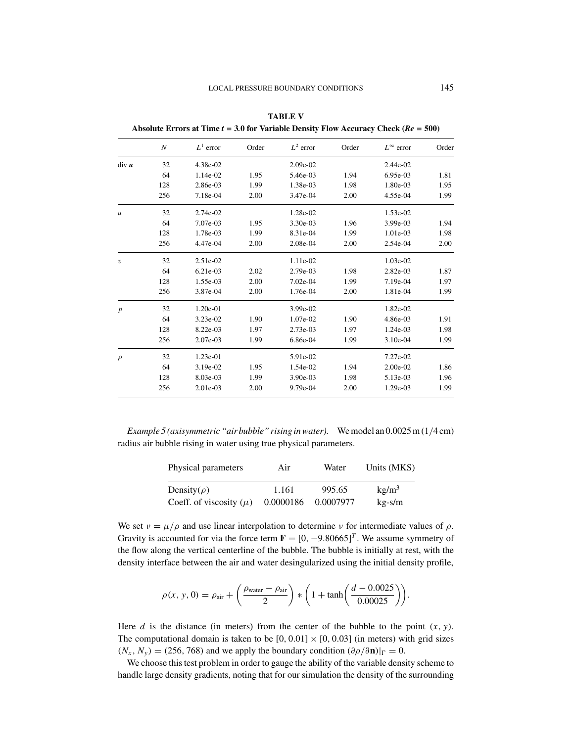| Absolute ETTOTS at THILE $t = 3.0$ for variable Defisity Flow Accuracy Clieck ( $\mathcal{R}t = 300$ ) |     |             |       |             |       |                    |       |
|--------------------------------------------------------------------------------------------------------|-----|-------------|-------|-------------|-------|--------------------|-------|
|                                                                                                        | N   | $L^1$ error | Order | $L^2$ error | Order | $L^{\infty}$ error | Order |
| div u                                                                                                  | 32  | 4.38e-02    |       | 2.09e-02    |       | 2.44e-02           |       |
|                                                                                                        | 64  | 1.14e-02    | 1.95  | 5.46e-03    | 1.94  | 6.95e-03           | 1.81  |
|                                                                                                        | 128 | 2.86e-03    | 1.99  | 1.38e-03    | 1.98  | 1.80e-03           | 1.95  |
|                                                                                                        | 256 | 7.18e-04    | 2.00  | 3.47e-04    | 2.00  | 4.55e-04           | 1.99  |
| $\mathfrak u$                                                                                          | 32  | 2.74e-02    |       | 1.28e-02    |       | 1.53e-02           |       |
|                                                                                                        | 64  | 7.07e-03    | 1.95  | 3.30e-03    | 1.96  | 3.99e-03           | 1.94  |
|                                                                                                        | 128 | 1.78e-03    | 1.99  | 8.31e-04    | 1.99  | 1.01e-03           | 1.98  |
|                                                                                                        | 256 | 4.47e-04    | 2.00  | 2.08e-04    | 2.00  | 2.54e-04           | 2.00  |
| $\upsilon$                                                                                             | 32  | 2.51e-02    |       | 1.11e-02    |       | 1.03e-02           |       |
|                                                                                                        | 64  | 6.21e-03    | 2.02  | 2.79e-03    | 1.98  | 2.82e-03           | 1.87  |
|                                                                                                        | 128 | 1.55e-03    | 2.00  | 7.02e-04    | 1.99  | 7.19e-04           | 1.97  |
|                                                                                                        | 256 | 3.87e-04    | 2.00  | 1.76e-04    | 2.00  | 1.81e-04           | 1.99  |
| $\boldsymbol{p}$                                                                                       | 32  | 1.20e-01    |       | 3.99e-02    |       | 1.82e-02           |       |
|                                                                                                        | 64  | 3.23e-02    | 1.90  | 1.07e-02    | 1.90  | 4.86e-03           | 1.91  |
|                                                                                                        | 128 | 8.22e-03    | 1.97  | 2.73e-03    | 1.97  | 1.24e-03           | 1.98  |
|                                                                                                        | 256 | 2.07e-03    | 1.99  | 6.86e-04    | 1.99  | $3.10e-04$         | 1.99  |
| $\rho$                                                                                                 | 32  | $1.23e-01$  |       | 5.91e-02    |       | 7.27e-02           |       |
|                                                                                                        | 64  | 3.19e-02    | 1.95  | 1.54e-02    | 1.94  | 2.00e-02           | 1.86  |
|                                                                                                        | 128 | 8.03e-03    | 1.99  | $3.90e-03$  | 1.98  | 5.13e-03           | 1.96  |
|                                                                                                        | 256 | 2.01e-03    | 2.00  | 9.79e-04    | 2.00  | 1.29e-03           | 1.99  |

**TABLE V Absolute Errors at Time** *t* **= 3***.***0 for Variable Density Flow Accuracy Check (***Re* **= 500)**

*Example 5 (axisymmetric "air bubble" rising in water).* We model an 0.0025 m (1/4 cm) radius air bubble rising in water using true physical parameters.

| Physical parameters         | Air       | Water     | Units (MKS)       |  |
|-----------------------------|-----------|-----------|-------------------|--|
| Density( $\rho$ )           | 1.161     | 995.65    | kg/m <sup>3</sup> |  |
| Coeff. of viscosity $(\mu)$ | 0.0000186 | 0.0007977 | $kg-s/m$          |  |

We set  $v = \mu/\rho$  and use linear interpolation to determine v for intermediate values of  $\rho$ . Gravity is accounted for via the force term  $\mathbf{F} = [0, -9.80665]^T$ . We assume symmetry of the flow along the vertical centerline of the bubble. The bubble is initially at rest, with the density interface between the air and water desingularized using the initial density profile,

$$
\rho(x, y, 0) = \rho_{\text{air}} + \left(\frac{\rho_{\text{water}} - \rho_{\text{air}}}{2}\right) * \left(1 + \tanh\left(\frac{d - 0.0025}{0.00025}\right)\right).
$$

Here *d* is the distance (in meters) from the center of the bubble to the point  $(x, y)$ . The computational domain is taken to be  $[0, 0.01] \times [0, 0.03]$  (in meters) with grid sizes  $(N_x, N_y) = (256, 768)$  and we apply the boundary condition  $(\partial \rho / \partial \mathbf{n})|_{\Gamma} = 0$ .

We choose this test problem in order to gauge the ability of the variable density scheme to handle large density gradients, noting that for our simulation the density of the surrounding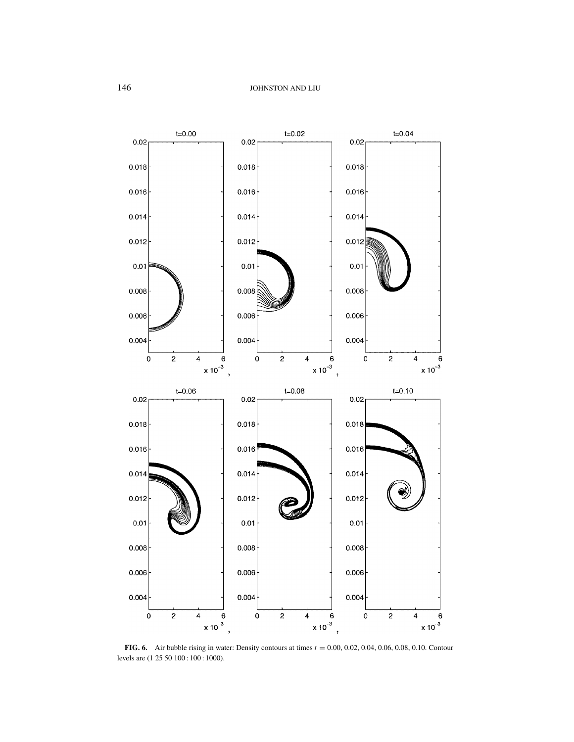

**FIG. 6.** Air bubble rising in water: Density contours at times  $t = 0.00, 0.02, 0.04, 0.06, 0.08, 0.10$ . Contour levels are  $(1 25 50 100: 100: 1000)$ .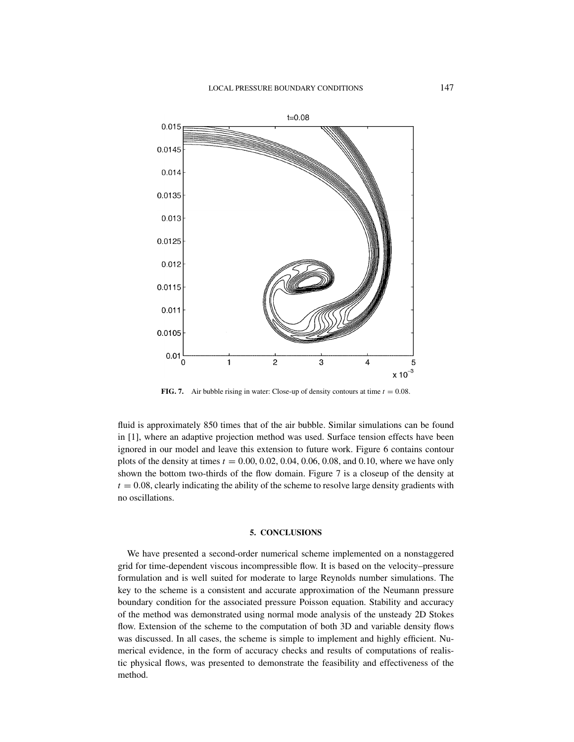

**FIG. 7.** Air bubble rising in water: Close-up of density contours at time  $t = 0.08$ .

fluid is approximately 850 times that of the air bubble. Similar simulations can be found in [1], where an adaptive projection method was used. Surface tension effects have been ignored in our model and leave this extension to future work. Figure 6 contains contour plots of the density at times *t* = 0.00, 0.02, 0.04, 0.06, 0.08, and 0.10, where we have only shown the bottom two-thirds of the flow domain. Figure 7 is a closeup of the density at  $t = 0.08$ , clearly indicating the ability of the scheme to resolve large density gradients with no oscillations.

#### **5. CONCLUSIONS**

We have presented a second-order numerical scheme implemented on a nonstaggered grid for time-dependent viscous incompressible flow. It is based on the velocity–pressure formulation and is well suited for moderate to large Reynolds number simulations. The key to the scheme is a consistent and accurate approximation of the Neumann pressure boundary condition for the associated pressure Poisson equation. Stability and accuracy of the method was demonstrated using normal mode analysis of the unsteady 2D Stokes flow. Extension of the scheme to the computation of both 3D and variable density flows was discussed. In all cases, the scheme is simple to implement and highly efficient. Numerical evidence, in the form of accuracy checks and results of computations of realistic physical flows, was presented to demonstrate the feasibility and effectiveness of the method.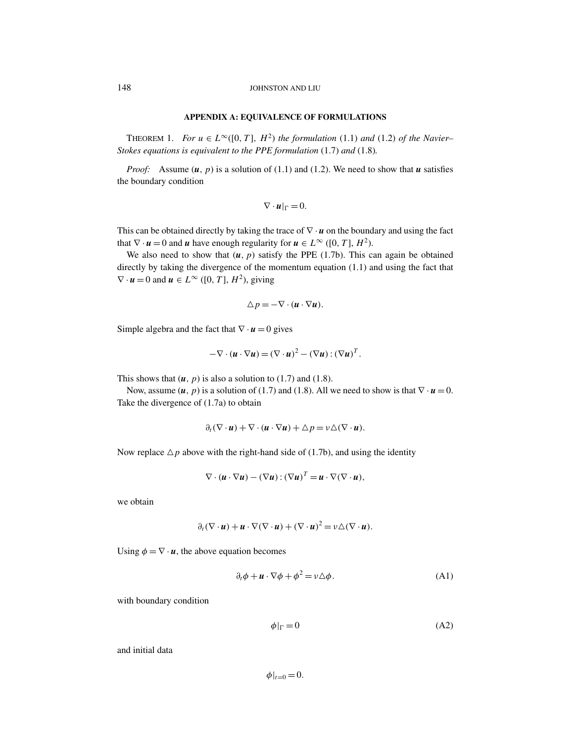#### **APPENDIX A: EQUIVALENCE OF FORMULATIONS**

THEOREM 1. *For*  $u \in L^{\infty}([0, T], H^2)$  *the formulation* (1.1) *and* (1.2) *of the Navier– Stokes equations is equivalent to the PPE formulation* (1.7) *and* (1.8)*.*

*Proof:* Assume  $(u, p)$  is a solution of (1.1) and (1.2). We need to show that *u* satisfies the boundary condition

$$
\nabla \cdot \boldsymbol{u}|_{\Gamma} = 0.
$$

This can be obtained directly by taking the trace of  $\nabla \cdot \mathbf{u}$  on the boundary and using the fact that  $\nabla \cdot \mathbf{u} = 0$  and  $\mathbf{u}$  have enough regularity for  $\mathbf{u} \in L^{\infty}$  ([0, *T*],  $H^2$ ).

We also need to show that  $(u, p)$  satisfy the PPE (1.7b). This can again be obtained directly by taking the divergence of the momentum equation (1.1) and using the fact that  $\nabla \cdot \mathbf{u} = 0$  and  $\mathbf{u} \in L^{\infty}$  ([0, *T*],  $H^2$ ), giving

$$
\triangle p = -\nabla \cdot (\mathbf{u} \cdot \nabla \mathbf{u}).
$$

Simple algebra and the fact that  $\nabla \cdot \mathbf{u} = 0$  gives

$$
-\nabla \cdot (\boldsymbol{u} \cdot \nabla \boldsymbol{u}) = (\nabla \cdot \boldsymbol{u})^2 - (\nabla \boldsymbol{u}) : (\nabla \boldsymbol{u})^T.
$$

This shows that  $(u, p)$  is also a solution to (1.7) and (1.8).

Now, assume  $(u, p)$  is a solution of (1.7) and (1.8). All we need to show is that  $\nabla \cdot u = 0$ . Take the divergence of (1.7a) to obtain

$$
\partial_t (\nabla \cdot \mathbf{u}) + \nabla \cdot (\mathbf{u} \cdot \nabla \mathbf{u}) + \Delta p = v \Delta (\nabla \cdot \mathbf{u}).
$$

Now replace  $\Delta p$  above with the right-hand side of (1.7b), and using the identity

$$
\nabla \cdot (\boldsymbol{u} \cdot \nabla \boldsymbol{u}) - (\nabla \boldsymbol{u}) : (\nabla \boldsymbol{u})^T = \boldsymbol{u} \cdot \nabla (\nabla \cdot \boldsymbol{u}),
$$

we obtain

$$
\partial_t (\nabla \cdot \mathbf{u}) + \mathbf{u} \cdot \nabla (\nabla \cdot \mathbf{u}) + (\nabla \cdot \mathbf{u})^2 = \nu \triangle (\nabla \cdot \mathbf{u}).
$$

Using  $\phi = \nabla \cdot \mathbf{u}$ , the above equation becomes

$$
\partial_t \phi + \mathbf{u} \cdot \nabla \phi + \phi^2 = \nu \Delta \phi. \tag{A1}
$$

with boundary condition

$$
\phi|_{\Gamma} = 0 \tag{A2}
$$

and initial data

 $\phi|_{t=0} = 0.$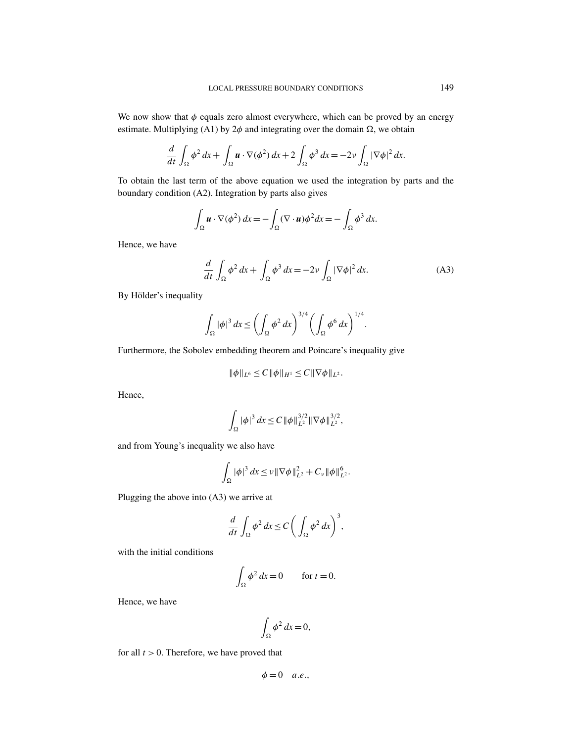We now show that  $\phi$  equals zero almost everywhere, which can be proved by an energy estimate. Multiplying (A1) by  $2\phi$  and integrating over the domain  $\Omega$ , we obtain

$$
\frac{d}{dt} \int_{\Omega} \phi^2 dx + \int_{\Omega} \boldsymbol{u} \cdot \nabla(\phi^2) dx + 2 \int_{\Omega} \phi^3 dx = -2\nu \int_{\Omega} |\nabla \phi|^2 dx.
$$

To obtain the last term of the above equation we used the integration by parts and the boundary condition (A2). Integration by parts also gives

$$
\int_{\Omega} \boldsymbol{u} \cdot \nabla (\phi^2) \, dx = -\int_{\Omega} (\nabla \cdot \boldsymbol{u}) \phi^2 dx = -\int_{\Omega} \phi^3 dx.
$$

Hence, we have

$$
\frac{d}{dt} \int_{\Omega} \phi^2 dx + \int_{\Omega} \phi^3 dx = -2\nu \int_{\Omega} |\nabla \phi|^2 dx.
$$
 (A3)

By Hölder's inequality

$$
\int_{\Omega} |\phi|^3 dx \le \left(\int_{\Omega} \phi^2 dx\right)^{3/4} \left(\int_{\Omega} \phi^6 dx\right)^{1/4}.
$$

Furthermore, the Sobolev embedding theorem and Poincare's inequality give

$$
\|\phi\|_{L^6}\leq C\|\phi\|_{H^1}\leq C\|\nabla\phi\|_{L^2}.
$$

Hence,

$$
\int_{\Omega} |\phi|^3 dx \leq C ||\phi||_{L^2}^{3/2} ||\nabla \phi||_{L^2}^{3/2},
$$

and from Young's inequality we also have

$$
\int_{\Omega} |\phi|^3 dx \leq \nu ||\nabla \phi||_{L^2}^2 + C_{\nu} ||\phi||_{L^2}^6.
$$

Plugging the above into (A3) we arrive at

$$
\frac{d}{dt} \int_{\Omega} \phi^2 dx \le C \bigg( \int_{\Omega} \phi^2 dx \bigg)^3,
$$

with the initial conditions

$$
\int_{\Omega} \phi^2 dx = 0 \qquad \text{for } t = 0.
$$

Hence, we have

$$
\int_{\Omega} \phi^2 dx = 0,
$$

for all  $t > 0$ . Therefore, we have proved that

$$
\phi=0\quad a.e.,
$$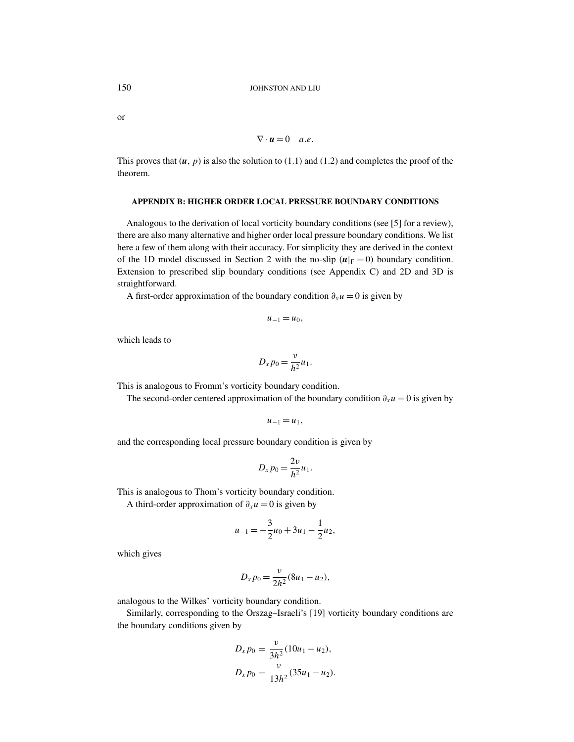or

$$
\nabla \cdot \mathbf{u} = 0 \quad a.e.
$$

This proves that  $(u, p)$  is also the solution to  $(1.1)$  and  $(1.2)$  and completes the proof of the theorem.

### **APPENDIX B: HIGHER ORDER LOCAL PRESSURE BOUNDARY CONDITIONS**

Analogous to the derivation of local vorticity boundary conditions (see [5] for a review), there are also many alternative and higher order local pressure boundary conditions. We list here a few of them along with their accuracy. For simplicity they are derived in the context of the 1D model discussed in Section 2 with the no-slip  $(u|_{\Gamma} = 0)$  boundary condition. Extension to prescribed slip boundary conditions (see Appendix C) and 2D and 3D is straightforward.

A first-order approximation of the boundary condition  $\partial_{x}u = 0$  is given by

$$
u_{-1}=u_0,
$$

which leads to

$$
D_x p_0 = \frac{\nu}{h^2} u_1.
$$

This is analogous to Fromm's vorticity boundary condition.

The second-order centered approximation of the boundary condition  $\partial_x u = 0$  is given by

$$
u_{-1}=u_1,
$$

and the corresponding local pressure boundary condition is given by

$$
D_x p_0 = \frac{2\nu}{h^2} u_1.
$$

This is analogous to Thom's vorticity boundary condition.

A third-order approximation of  $\partial_x u = 0$  is given by

$$
u_{-1} = -\frac{3}{2}u_0 + 3u_1 - \frac{1}{2}u_2,
$$

which gives

$$
D_x p_0 = \frac{v}{2h^2} (8u_1 - u_2),
$$

analogous to the Wilkes' vorticity boundary condition.

Similarly, corresponding to the Orszag–Israeli's [19] vorticity boundary conditions are the boundary conditions given by

$$
D_x p_0 = \frac{v}{3h^2} (10u_1 - u_2),
$$
  

$$
D_x p_0 = \frac{v}{13h^2} (35u_1 - u_2).
$$

$$
\overline{a}
$$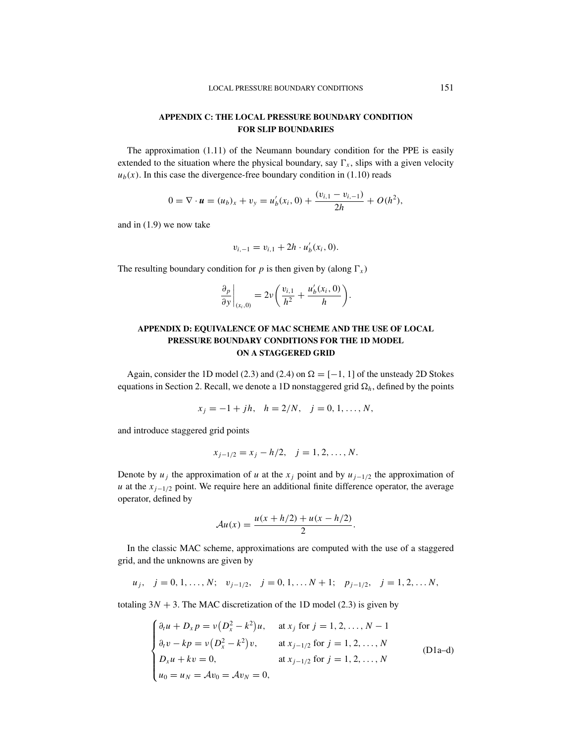## **APPENDIX C: THE LOCAL PRESSURE BOUNDARY CONDITION FOR SLIP BOUNDARIES**

The approximation (1.11) of the Neumann boundary condition for the PPE is easily extended to the situation where the physical boundary, say  $\Gamma_x$ , slips with a given velocity  $u<sub>b</sub>(x)$ . In this case the divergence-free boundary condition in (1.10) reads

$$
0 = \nabla \cdot \boldsymbol{u} = (u_b)_x + v_y = u'_b(x_i, 0) + \frac{(v_{i,1} - v_{i,-1})}{2h} + O(h^2),
$$

and in (1.9) we now take

$$
v_{i,-1} = v_{i,1} + 2h \cdot u'_b(x_i, 0).
$$

The resulting boundary condition for  $p$  is then given by (along  $\Gamma_x$ )

$$
\left. \frac{\partial_p}{\partial y} \right|_{(x_i,0)} = 2\nu \left( \frac{v_{i,1}}{h^2} + \frac{u'_b(x_i,0)}{h} \right).
$$

## **APPENDIX D: EQUIVALENCE OF MAC SCHEME AND THE USE OF LOCAL PRESSURE BOUNDARY CONDITIONS FOR THE 1D MODEL ON A STAGGERED GRID**

Again, consider the 1D model (2.3) and (2.4) on  $\Omega = [-1, 1]$  of the unsteady 2D Stokes equations in Section 2. Recall, we denote a 1D nonstaggered grid  $\Omega_h$ , defined by the points

$$
x_j = -1 + jh
$$
,  $h = 2/N$ ,  $j = 0, 1, ..., N$ ,

and introduce staggered grid points

$$
x_{j-1/2} = x_j - h/2, \quad j = 1, 2, \dots, N.
$$

Denote by  $u_j$  the approximation of *u* at the  $x_j$  point and by  $u_{j-1/2}$  the approximation of *u* at the  $x_{i-1/2}$  point. We require here an additional finite difference operator, the average operator, defined by

$$
\mathcal{A}u(x) = \frac{u(x + h/2) + u(x - h/2)}{2}.
$$

In the classic MAC scheme, approximations are computed with the use of a staggered grid, and the unknowns are given by

$$
u_j
$$
,  $j = 0, 1, ..., N$ ;  $v_{j-1/2}$ ,  $j = 0, 1, ... N + 1$ ;  $p_{j-1/2}$ ,  $j = 1, 2, ... N$ ,

totaling  $3N + 3$ . The MAC discretization of the 1D model (2.3) is given by

$$
\begin{cases}\n\partial_t u + D_x p = v(D_x^2 - k^2)u, & \text{at } x_j \text{ for } j = 1, 2, ..., N - 1 \\
\partial_t v - kp = v(D_x^2 - k^2)v, & \text{at } x_{j-1/2} \text{ for } j = 1, 2, ..., N \\
D_x u + kv = 0, & \text{at } x_{j-1/2} \text{ for } j = 1, 2, ..., N \\
u_0 = u_N = Av_0 = Av_N = 0,\n\end{cases}
$$
\n(D1a-d)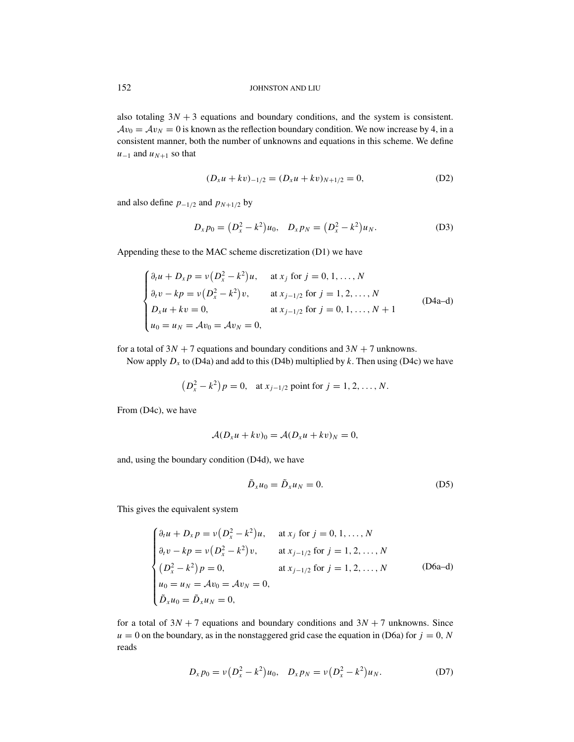also totaling  $3N + 3$  equations and boundary conditions, and the system is consistent.  $Av_0 = Av_N = 0$  is known as the reflection boundary condition. We now increase by 4, in a consistent manner, both the number of unknowns and equations in this scheme. We define  $u_{-1}$  and  $u_{N+1}$  so that

$$
(D_x u + k v)_{-1/2} = (D_x u + k v)_{N+1/2} = 0,
$$
 (D2)

and also define  $p_{-1/2}$  and  $p_{N+1/2}$  by

$$
D_x p_0 = (D_x^2 - k^2)u_0, \quad D_x p_N = (D_x^2 - k^2)u_N.
$$
 (D3)

Appending these to the MAC scheme discretization (D1) we have

$$
\begin{cases}\n\partial_t u + D_x p = v(D_x^2 - k^2)u, & \text{at } x_j \text{ for } j = 0, 1, ..., N \\
\partial_t v - kp = v(D_x^2 - k^2)v, & \text{at } x_{j-1/2} \text{ for } j = 1, 2, ..., N \\
D_x u + kv = 0, & \text{at } x_{j-1/2} \text{ for } j = 0, 1, ..., N + 1 \\
u_0 = u_N = Av_0 = Av_N = 0,\n\end{cases}
$$
\n(D4a-d)

for a total of  $3N + 7$  equations and boundary conditions and  $3N + 7$  unknowns.

Now apply  $D_x$  to (D4a) and add to this (D4b) multiplied by k. Then using (D4c) we have

$$
(D_x^2 - k^2)p = 0
$$
, at  $x_{j-1/2}$  point for  $j = 1, 2, ..., N$ .

From (D4c), we have

$$
\mathcal{A}(D_x u + k v)_0 = \mathcal{A}(D_x u + k v)_N = 0,
$$

and, using the boundary condition (D4d), we have

$$
\tilde{D}_x u_0 = \tilde{D}_x u_N = 0. \tag{D5}
$$

This gives the equivalent system

$$
\begin{cases}\n\partial_t u + D_x p = v(D_x^2 - k^2)u, & \text{at } x_j \text{ for } j = 0, 1, ..., N \\
\partial_t v - kp = v(D_x^2 - k^2)v, & \text{at } x_{j-1/2} \text{ for } j = 1, 2, ..., N \\
(D_x^2 - k^2)p = 0, & \text{at } x_{j-1/2} \text{ for } j = 1, 2, ..., N \\
u_0 = u_N = Av_0 = Av_N = 0, & \\
\tilde{D}_x u_0 = \tilde{D}_x u_N = 0,\n\end{cases}
$$
\n(D6a-d)

for a total of  $3N + 7$  equations and boundary conditions and  $3N + 7$  unknowns. Since  $u = 0$  on the boundary, as in the nonstaggered grid case the equation in (D6a) for  $j = 0$ , *N* reads

$$
D_x p_0 = \nu (D_x^2 - k^2) u_0, \quad D_x p_N = \nu (D_x^2 - k^2) u_N. \tag{D7}
$$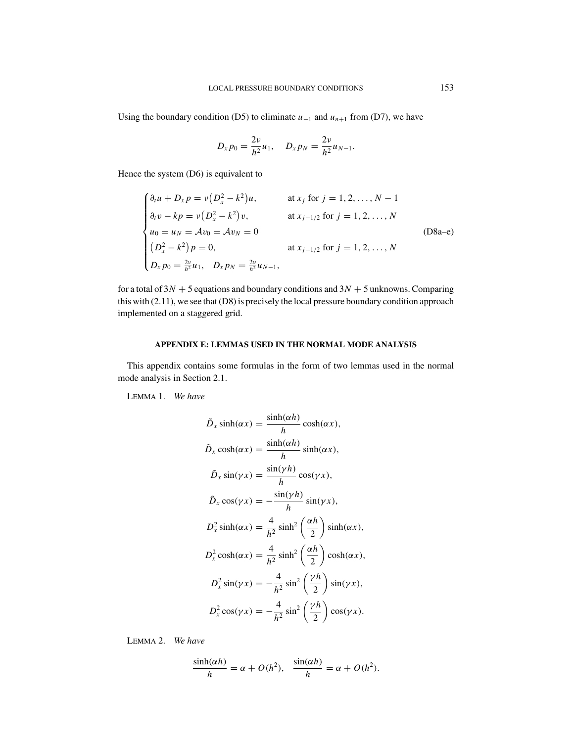Using the boundary condition (D5) to eliminate  $u_{-1}$  and  $u_{n+1}$  from (D7), we have

$$
D_x p_0 = \frac{2\nu}{h^2} u_1, \quad D_x p_N = \frac{2\nu}{h^2} u_{N-1}.
$$

Hence the system (D6) is equivalent to

$$
\begin{cases}\n\partial_t u + D_x p = v(D_x^2 - k^2)u, & \text{at } x_j \text{ for } j = 1, 2, ..., N - 1 \\
\partial_t v - kp = v(D_x^2 - k^2)v, & \text{at } x_{j-1/2} \text{ for } j = 1, 2, ..., N \\
u_0 = u_N = Av_0 = Av_N = 0 \\
(D_x^2 - k^2)p = 0, & \text{at } x_{j-1/2} \text{ for } j = 1, 2, ..., N \\
D_x p_0 = \frac{2v}{h^2}u_1, & D_x p_N = \frac{2v}{h^2}u_{N-1},\n\end{cases}
$$
\n(D8a-e)

for a total of  $3N + 5$  equations and boundary conditions and  $3N + 5$  unknowns. Comparing this with (2.11), we see that (D8) is precisely the local pressure boundary condition approach implemented on a staggered grid.

## **APPENDIX E: LEMMAS USED IN THE NORMAL MODE ANALYSIS**

This appendix contains some formulas in the form of two lemmas used in the normal mode analysis in Section 2.1.

LEMMA 1. *We have*

$$
\tilde{D}_x \sinh(\alpha x) = \frac{\sinh(\alpha h)}{h} \cosh(\alpha x),
$$
\n
$$
\tilde{D}_x \cosh(\alpha x) = \frac{\sinh(\alpha h)}{h} \sinh(\alpha x),
$$
\n
$$
\tilde{D}_x \sin(\gamma x) = \frac{\sin(\gamma h)}{h} \cos(\gamma x),
$$
\n
$$
\tilde{D}_x \cos(\gamma x) = -\frac{\sin(\gamma h)}{h} \sin(\gamma x),
$$
\n
$$
D_x^2 \sinh(\alpha x) = \frac{4}{h^2} \sinh^2\left(\frac{\alpha h}{2}\right) \sinh(\alpha x),
$$
\n
$$
D_x^2 \cosh(\alpha x) = \frac{4}{h^2} \sinh^2\left(\frac{\alpha h}{2}\right) \cosh(\alpha x),
$$
\n
$$
D_x^2 \sin(\gamma x) = -\frac{4}{h^2} \sin^2\left(\frac{\gamma h}{2}\right) \sin(\gamma x),
$$
\n
$$
D_x^2 \cos(\gamma x) = -\frac{4}{h^2} \sin^2\left(\frac{\gamma h}{2}\right) \cos(\gamma x).
$$

LEMMA 2. *We have*

$$
\frac{\sinh(\alpha h)}{h} = \alpha + O(h^2), \quad \frac{\sin(\alpha h)}{h} = \alpha + O(h^2).
$$